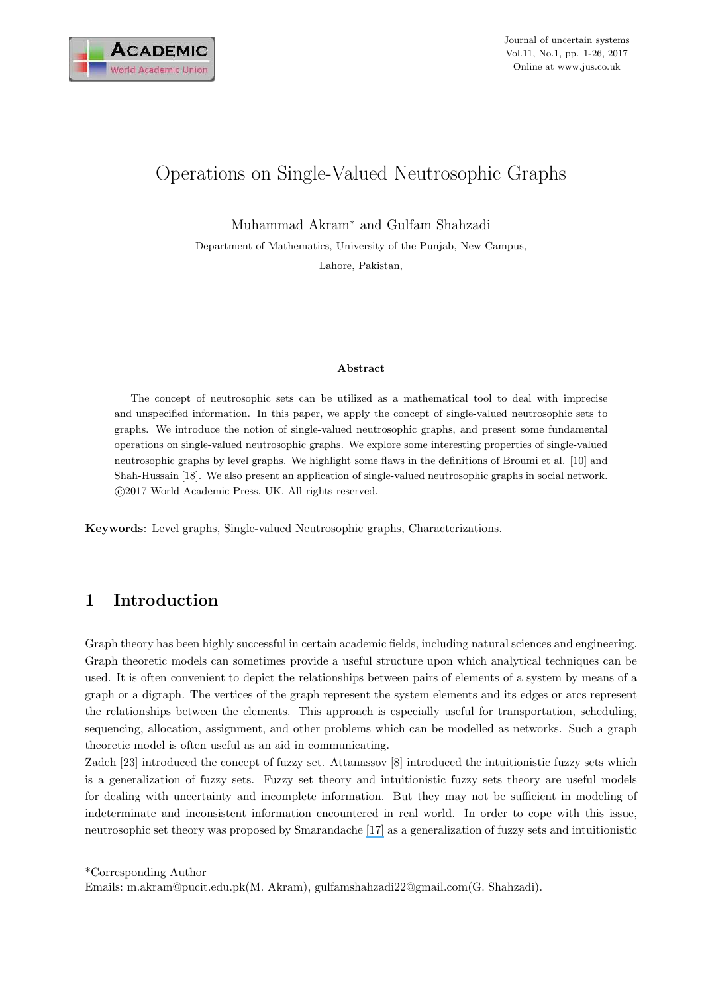

# Operations on Single-Valued Neutrosophic Graphs

Muhammad Akram<sup>∗</sup> and Gulfam Shahzadi

Department of Mathematics, University of the Punjab, New Campus,

Lahore, Pakistan,

#### Abstract

The concept of neutrosophic sets can be utilized as a mathematical tool to deal with imprecise and unspecified information. In this paper, we apply the concept of single-valued neutrosophic sets to graphs. We introduce the notion of single-valued neutrosophic graphs, and present some fundamental operations on single-valued neutrosophic graphs. We explore some interesting properties of single-valued neutrosophic graphs by level graphs. We highlight some flaws in the definitions of Broumi et al. [10] and Shah-Hussain [18]. We also present an application of single-valued neutrosophic graphs in social network. c 2017 World Academic Press, UK. All rights reserved.

Keywords: Level graphs, Single-valued Neutrosophic graphs, Characterizations.

# 1 Introduction

Graph theory has been highly successful in certain academic fields, including natural sciences and engineering. Graph theoretic models can sometimes provide a useful structure upon which analytical techniques can be used. It is often convenient to depict the relationships between pairs of elements of a system by means of a graph or a digraph. The vertices of the graph represent the system elements and its edges or arcs represent the relationships between the elements. This approach is especially useful for transportation, scheduling, sequencing, allocation, assignment, and other problems which can be modelled as networks. Such a graph theoretic model is often useful as an aid in communicating.

Zadeh [23] introduced the concept of fuzzy set. Attanassov [8] introduced the intuitionistic fuzzy sets which is a generalization of fuzzy sets. Fuzzy set theory and intuitionistic fuzzy sets theory are useful models for dealing with uncertainty and incomplete information. But they may not be sufficient in modeling of indeterminate and inconsistent information encountered in real world. In order to cope with this issue, neutrosophic set theory was proposed by Smarandache [\[17\]](https://www.researchgate.net/publication/308949256_A_UNIFYING_FIELD_IN_LOGICS_NEUTROSOPHIC_LOGIC_NEUTROSOPHY_NEUTROSOPHIC_SET_NEUTROSOPHIC_PROBABILITY_AND_STATISTICS?el=1_x_8&enrichId=rgreq-c15ba1f73910ed1953694f8b6745d424-XXX&enrichSource=Y292ZXJQYWdlOzMxMTQyNjYzNDtBUzo0Mzg0MzE1MDg2MzU2NTBAMTQ4MTU0MTYyNTg2NQ==) as a generalization of fuzzy sets and intuitionistic

\*Corresponding Author Emails: m.akram@pucit.edu.pk(M. Akram), gulfamshahzadi22@gmail.com(G. Shahzadi).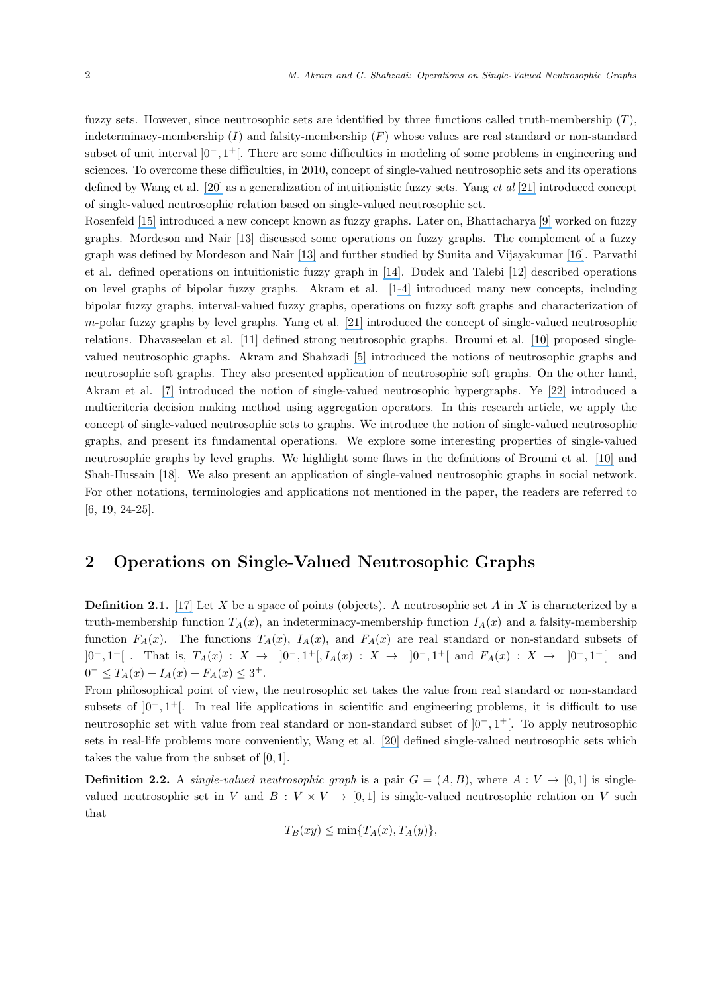fuzzy sets. However, since neutrosophic sets are identified by three functions called truth-membership  $(T)$ , indeterminacy-membership  $(I)$  and falsity-membership  $(F)$  whose values are real standard or non-standard subset of unit interval  $]0^-, 1^+[$ . There are some difficulties in modeling of some problems in engineering and sciences. To overcome these difficulties, in 2010, concept of single-valued neutrosophic sets and its operations defined by Wang et al. [\[20\]](https://www.researchgate.net/publication/262047656_Single_valued_neutrosophic_sets?el=1_x_8&enrichId=rgreq-c15ba1f73910ed1953694f8b6745d424-XXX&enrichSource=Y292ZXJQYWdlOzMxMTQyNjYzNDtBUzo0Mzg0MzE1MDg2MzU2NTBAMTQ4MTU0MTYyNTg2NQ==) as a generalization of intuitionistic fuzzy sets. Yang *et al* [\[21\]](https://www.researchgate.net/publication/293799977_On_single_valued_neutrosophic_relations?el=1_x_8&enrichId=rgreq-c15ba1f73910ed1953694f8b6745d424-XXX&enrichSource=Y292ZXJQYWdlOzMxMTQyNjYzNDtBUzo0Mzg0MzE1MDg2MzU2NTBAMTQ4MTU0MTYyNTg2NQ==) introduced concept of single-valued neutrosophic relation based on single-valued neutrosophic set.

Rosenfeld [\[15\]](https://www.researchgate.net/publication/285264036_Fuzzy_Graphs_Fuzzy_Sets_and_their_Applications?el=1_x_8&enrichId=rgreq-c15ba1f73910ed1953694f8b6745d424-XXX&enrichSource=Y292ZXJQYWdlOzMxMTQyNjYzNDtBUzo0Mzg0MzE1MDg2MzU2NTBAMTQ4MTU0MTYyNTg2NQ==) introduced a new concept known as fuzzy graphs. Later on, Bhattacharya [\[9\]](https://www.researchgate.net/publication/242794179_Some_remarks_on_fuzzy_graphs?el=1_x_8&enrichId=rgreq-c15ba1f73910ed1953694f8b6745d424-XXX&enrichSource=Y292ZXJQYWdlOzMxMTQyNjYzNDtBUzo0Mzg0MzE1MDg2MzU2NTBAMTQ4MTU0MTYyNTg2NQ==) worked on fuzzy graphs. Mordeson and Nair [\[13\]](https://www.researchgate.net/publication/220314865_Operations_on_Fuzzy_Graphs?el=1_x_8&enrichId=rgreq-c15ba1f73910ed1953694f8b6745d424-XXX&enrichSource=Y292ZXJQYWdlOzMxMTQyNjYzNDtBUzo0Mzg0MzE1MDg2MzU2NTBAMTQ4MTU0MTYyNTg2NQ==) discussed some operations on fuzzy graphs. The complement of a fuzzy graph was defined by Mordeson and Nair [\[13\]](https://www.researchgate.net/publication/220314865_Operations_on_Fuzzy_Graphs?el=1_x_8&enrichId=rgreq-c15ba1f73910ed1953694f8b6745d424-XXX&enrichSource=Y292ZXJQYWdlOzMxMTQyNjYzNDtBUzo0Mzg0MzE1MDg2MzU2NTBAMTQ4MTU0MTYyNTg2NQ==) and further studied by Sunita and Vijayakumar [\[16\]](https://www.researchgate.net/publication/264994797_Complement_of_a_fuzzy_graph?el=1_x_8&enrichId=rgreq-c15ba1f73910ed1953694f8b6745d424-XXX&enrichSource=Y292ZXJQYWdlOzMxMTQyNjYzNDtBUzo0Mzg0MzE1MDg2MzU2NTBAMTQ4MTU0MTYyNTg2NQ==). Parvathi et al. defined operations on intuitionistic fuzzy graph in [\[14\]](https://www.researchgate.net/publication/224599301_Operations_on_Intuitionistic_Fuzzy_Graphs?el=1_x_8&enrichId=rgreq-c15ba1f73910ed1953694f8b6745d424-XXX&enrichSource=Y292ZXJQYWdlOzMxMTQyNjYzNDtBUzo0Mzg0MzE1MDg2MzU2NTBAMTQ4MTU0MTYyNTg2NQ==). Dudek and Talebi [12] described operations on level graphs of bipolar fuzzy graphs. Akram et al. [[1-](https://www.researchgate.net/publication/286903464_Operations_on_Soft_Graphs?el=1_x_8&enrichId=rgreq-c15ba1f73910ed1953694f8b6745d424-XXX&enrichSource=Y292ZXJQYWdlOzMxMTQyNjYzNDtBUzo0Mzg0MzE1MDg2MzU2NTBAMTQ4MTU0MTYyNTg2NQ==)[4\]](https://www.researchgate.net/publication/310124396_Certain_Characterization_of_m-Polar_Fuzzy_Graphs_by_Level_Graphs?el=1_x_8&enrichId=rgreq-c15ba1f73910ed1953694f8b6745d424-XXX&enrichSource=Y292ZXJQYWdlOzMxMTQyNjYzNDtBUzo0Mzg0MzE1MDg2MzU2NTBAMTQ4MTU0MTYyNTg2NQ==) introduced many new concepts, including bipolar fuzzy graphs, interval-valued fuzzy graphs, operations on fuzzy soft graphs and characterization of m-polar fuzzy graphs by level graphs. Yang et al. [\[21\]](https://www.researchgate.net/publication/293799977_On_single_valued_neutrosophic_relations?el=1_x_8&enrichId=rgreq-c15ba1f73910ed1953694f8b6745d424-XXX&enrichSource=Y292ZXJQYWdlOzMxMTQyNjYzNDtBUzo0Mzg0MzE1MDg2MzU2NTBAMTQ4MTU0MTYyNTg2NQ==) introduced the concept of single-valued neutrosophic relations. Dhavaseelan et al. [11] defined strong neutrosophic graphs. Broumi et al. [\[10\]](https://www.researchgate.net/publication/293882298_SINGLE_VALUED_NEUTROSOPHIC_GRAPHS?el=1_x_8&enrichId=rgreq-c15ba1f73910ed1953694f8b6745d424-XXX&enrichSource=Y292ZXJQYWdlOzMxMTQyNjYzNDtBUzo0Mzg0MzE1MDg2MzU2NTBAMTQ4MTU0MTYyNTg2NQ==) proposed singlevalued neutrosophic graphs. Akram and Shahzadi [\[5\]](https://www.researchgate.net/publication/305920288_Neutrosophic_soft_graphs_with_application?el=1_x_8&enrichId=rgreq-c15ba1f73910ed1953694f8b6745d424-XXX&enrichSource=Y292ZXJQYWdlOzMxMTQyNjYzNDtBUzo0Mzg0MzE1MDg2MzU2NTBAMTQ4MTU0MTYyNTg2NQ==) introduced the notions of neutrosophic graphs and neutrosophic soft graphs. They also presented application of neutrosophic soft graphs. On the other hand, Akram et al. [\[7\]](https://www.researchgate.net/publication/311426634_Operations_on_single-valued_neutrosophic_graphs?el=1_x_8&enrichId=rgreq-c15ba1f73910ed1953694f8b6745d424-XXX&enrichSource=Y292ZXJQYWdlOzMxMTQyNjYzNDtBUzo0Mzg0MzE1MDg2MzU2NTBAMTQ4MTU0MTYyNTg2NQ==) introduced the notion of single-valued neutrosophic hypergraphs. Ye [\[22\]](https://www.researchgate.net/publication/281305240_A_multicriteria_decision-making_method_using_aggregation_operators_for_simplified_neutrosophic_sets?el=1_x_8&enrichId=rgreq-c15ba1f73910ed1953694f8b6745d424-XXX&enrichSource=Y292ZXJQYWdlOzMxMTQyNjYzNDtBUzo0Mzg0MzE1MDg2MzU2NTBAMTQ4MTU0MTYyNTg2NQ==) introduced a multicriteria decision making method using aggregation operators. In this research article, we apply the concept of single-valued neutrosophic sets to graphs. We introduce the notion of single-valued neutrosophic graphs, and present its fundamental operations. We explore some interesting properties of single-valued neutrosophic graphs by level graphs. We highlight some flaws in the definitions of Broumi et al. [\[10\]](https://www.researchgate.net/publication/293882298_SINGLE_VALUED_NEUTROSOPHIC_GRAPHS?el=1_x_8&enrichId=rgreq-c15ba1f73910ed1953694f8b6745d424-XXX&enrichSource=Y292ZXJQYWdlOzMxMTQyNjYzNDtBUzo0Mzg0MzE1MDg2MzU2NTBAMTQ4MTU0MTYyNTg2NQ==) and Shah-Hussain [\[18\]](https://www.researchgate.net/publication/309179119_Neutrosophic_Soft_Graphs?el=1_x_8&enrichId=rgreq-c15ba1f73910ed1953694f8b6745d424-XXX&enrichSource=Y292ZXJQYWdlOzMxMTQyNjYzNDtBUzo0Mzg0MzE1MDg2MzU2NTBAMTQ4MTU0MTYyNTg2NQ==). We also present an application of single-valued neutrosophic graphs in social network. For other notations, terminologies and applications not mentioned in the paper, the readers are referred to [\[6,](https://www.researchgate.net/publication/310466355_Representation_of_Graphs_using_Intuitionistic_Neutrosophic_Soft_Sets?el=1_x_8&enrichId=rgreq-c15ba1f73910ed1953694f8b6745d424-XXX&enrichSource=Y292ZXJQYWdlOzMxMTQyNjYzNDtBUzo0Mzg0MzE1MDg2MzU2NTBAMTQ4MTU0MTYyNTg2NQ==) 19, [24](https://www.researchgate.net/publication/283558114_Fuzzy_parameterized_fuzzy_soft_sets_and_decision_making?el=1_x_8&enrichId=rgreq-c15ba1f73910ed1953694f8b6745d424-XXX&enrichSource=Y292ZXJQYWdlOzMxMTQyNjYzNDtBUzo0Mzg0MzE1MDg2MzU2NTBAMTQ4MTU0MTYyNTg2NQ==)[-25\]](https://www.researchgate.net/publication/283785545_Reviews_on_decision_making_methods_based_on_fuzzy_soft_sets_and_rough_soft_sets?el=1_x_8&enrichId=rgreq-c15ba1f73910ed1953694f8b6745d424-XXX&enrichSource=Y292ZXJQYWdlOzMxMTQyNjYzNDtBUzo0Mzg0MzE1MDg2MzU2NTBAMTQ4MTU0MTYyNTg2NQ==).

### 2 Operations on Single-Valued Neutrosophic Graphs

**Definition 2.1.** [\[17\]](https://www.researchgate.net/publication/308949256_A_UNIFYING_FIELD_IN_LOGICS_NEUTROSOPHIC_LOGIC_NEUTROSOPHY_NEUTROSOPHIC_SET_NEUTROSOPHIC_PROBABILITY_AND_STATISTICS?el=1_x_8&enrichId=rgreq-c15ba1f73910ed1953694f8b6745d424-XXX&enrichSource=Y292ZXJQYWdlOzMxMTQyNjYzNDtBUzo0Mzg0MzE1MDg2MzU2NTBAMTQ4MTU0MTYyNTg2NQ==) Let X be a space of points (objects). A neutrosophic set A in X is characterized by a truth-membership function  $T_A(x)$ , an indeterminacy-membership function  $I_A(x)$  and a falsity-membership function  $F_A(x)$ . The functions  $T_A(x)$ ,  $I_A(x)$ , and  $F_A(x)$  are real standard or non-standard subsets of  $]0^-, 1^+]$  . That is,  $T_A(x) : X \to ]0^-, 1^+]$ ,  $I_A(x) : X \to ]0^-, 1^+]$  and  $F_A(x) : X \to ]0^-, 1^+]$  and  $0^- \le T_A(x) + I_A(x) + F_A(x) \le 3^+.$ 

From philosophical point of view, the neutrosophic set takes the value from real standard or non-standard subsets of  $]0^-,1^+[$ . In real life applications in scientific and engineering problems, it is difficult to use neutrosophic set with value from real standard or non-standard subset of ]0<sup>−</sup>, 1 <sup>+</sup>[. To apply neutrosophic sets in real-life problems more conveniently, Wang et al. [\[20\]](https://www.researchgate.net/publication/262047656_Single_valued_neutrosophic_sets?el=1_x_8&enrichId=rgreq-c15ba1f73910ed1953694f8b6745d424-XXX&enrichSource=Y292ZXJQYWdlOzMxMTQyNjYzNDtBUzo0Mzg0MzE1MDg2MzU2NTBAMTQ4MTU0MTYyNTg2NQ==) defined single-valued neutrosophic sets which takes the value from the subset of [0, 1].

**Definition 2.2.** A *single-valued neutrosophic graph* is a pair  $G = (A, B)$ , where  $A: V \rightarrow [0, 1]$  is singlevalued neutrosophic set in V and  $B: V \times V \rightarrow [0,1]$  is single-valued neutrosophic relation on V such that

$$
T_B(xy) \le \min\{T_A(x), T_A(y)\},\
$$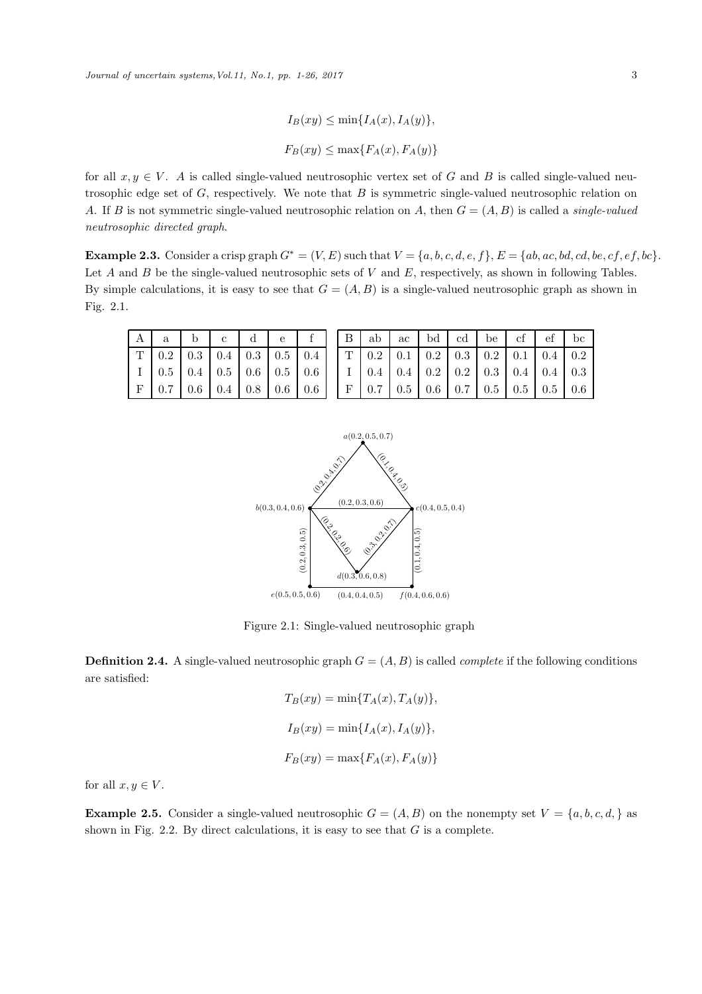$$
I_B(xy) \le \min\{I_A(x), I_A(y)\},
$$
  

$$
F_B(xy) \le \max\{F_A(x), F_A(y)\}
$$

for all  $x, y \in V$ . A is called single-valued neutrosophic vertex set of G and B is called single-valued neutrosophic edge set of  $G$ , respectively. We note that  $B$  is symmetric single-valued neutrosophic relation on A. If B is not symmetric single-valued neutrosophic relation on A, then G = (A, B) is called a *single-valued neutrosophic directed graph*.

Example 2.3. Consider a crisp graph  $G^* = (V, E)$  such that  $V = \{a, b, c, d, e, f\}$ ,  $E = \{ab, ac, bd, cd, be, cf, ef, bc\}$ . Let  $A$  and  $B$  be the single-valued neutrosophic sets of  $V$  and  $E$ , respectively, as shown in following Tables. By simple calculations, it is easy to see that  $G = (A, B)$  is a single-valued neutrosophic graph as shown in Fig. 2.1.

| A |                                                                                                 | $\mathbf{c}$                                            | $\mathbf d$ | e. |  | $B   ab   ac   bd   cd   be   cf   ef  $                                                                  |  |  |  | bc |
|---|-------------------------------------------------------------------------------------------------|---------------------------------------------------------|-------------|----|--|-----------------------------------------------------------------------------------------------------------|--|--|--|----|
|   | $T$   0.2   0.3   0.4   0.3   0.5   0.4     $T$   0.2   0.1   0.2   0.3   0.2   0.1   0.4   0.2 |                                                         |             |    |  |                                                                                                           |  |  |  |    |
|   | $\vert 0.5 \vert 0.4 \vert 0.5 \vert 0.6 \vert 0.5 \vert 0.6 \vert$                             |                                                         |             |    |  | $\vert$ I $\vert$ 0.4 $\vert$ 0.4 $\vert$ 0.2 $\vert$ 0.2 $\vert$ 0.3 $\vert$ 0.4 $\vert$ 0.4 $\vert$ 0.3 |  |  |  |    |
|   |                                                                                                 | $0.7 \mid 0.6 \mid 0.4 \mid 0.8 \mid 0.6 \mid 0.6 \mid$ |             |    |  | $F   0.7   0.5   0.6   0.7   0.5   0.5   0.5   0.6$                                                       |  |  |  |    |



Figure 2.1: Single-valued neutrosophic graph

**Definition 2.4.** A single-valued neutrosophic graph  $G = (A, B)$  is called *complete* if the following conditions are satisfied:

$$
T_B(xy) = \min\{T_A(x), T_A(y)\},
$$
  
\n
$$
I_B(xy) = \min\{I_A(x), I_A(y)\},
$$
  
\n
$$
F_B(xy) = \max\{F_A(x), F_A(y)\}
$$

for all  $x, y \in V$ .

**Example 2.5.** Consider a single-valued neutrosophic  $G = (A, B)$  on the nonempty set  $V = \{a, b, c, d, \}$  as shown in Fig. 2.2. By direct calculations, it is easy to see that  $G$  is a complete.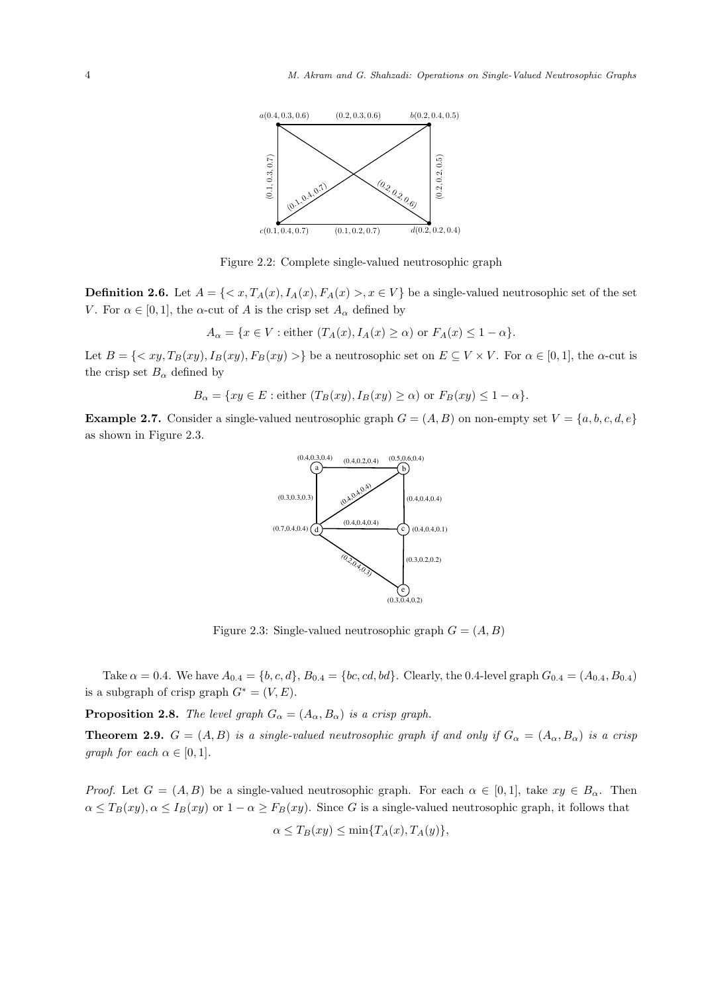

Figure 2.2: Complete single-valued neutrosophic graph

**Definition 2.6.** Let  $A = \{ \langle x, T_A(x), I_A(x), F_A(x) \rangle, x \in V \}$  be a single-valued neutrosophic set of the set V. For  $\alpha \in [0,1]$ , the  $\alpha$ -cut of A is the crisp set  $A_{\alpha}$  defined by

 $A_{\alpha} = \{x \in V : \text{either } (T_A(x), I_A(x) \geq \alpha) \text{ or } F_A(x) \leq 1 - \alpha\}.$ 

Let  $B = \{ \langle xy, T_B(xy), I_B(xy), F_B(xy) \rangle \}$  be a neutrosophic set on  $E \subseteq V \times V$ . For  $\alpha \in [0, 1]$ , the  $\alpha$ -cut is the crisp set  $B_{\alpha}$  defined by

 $B_{\alpha} = \{xy \in E : \text{either } (T_B(xy), I_B(xy) \ge \alpha) \text{ or } F_B(xy) \le 1 - \alpha \}.$ 

**Example 2.7.** Consider a single-valued neutrosophic graph  $G = (A, B)$  on non-empty set  $V = \{a, b, c, d, e\}$ as shown in Figure 2.3.



Figure 2.3: Single-valued neutrosophic graph  $G = (A, B)$ 

Take  $\alpha = 0.4$ . We have  $A_{0.4} = \{b, c, d\}$ ,  $B_{0.4} = \{bc, cd, bd\}$ . Clearly, the 0.4-level graph  $G_{0.4} = (A_{0.4}, B_{0.4})$ is a subgraph of crisp graph  $G^* = (V, E)$ .

**Proposition 2.8.** *The level graph*  $G_{\alpha} = (A_{\alpha}, B_{\alpha})$  *is a crisp graph.* 

**Theorem 2.9.**  $G = (A, B)$  *is a single-valued neutrosophic graph if and only if*  $G_{\alpha} = (A_{\alpha}, B_{\alpha})$  *is a crisp graph for each*  $\alpha \in [0, 1]$ *.* 

*Proof.* Let  $G = (A, B)$  be a single-valued neutrosophic graph. For each  $\alpha \in [0, 1]$ , take  $xy \in B_{\alpha}$ . Then  $\alpha \leq T_B(xy), \alpha \leq I_B(xy)$  or  $1 - \alpha \geq F_B(xy)$ . Since G is a single-valued neutrosophic graph, it follows that

$$
\alpha \le T_B(xy) \le \min\{T_A(x), T_A(y)\},\
$$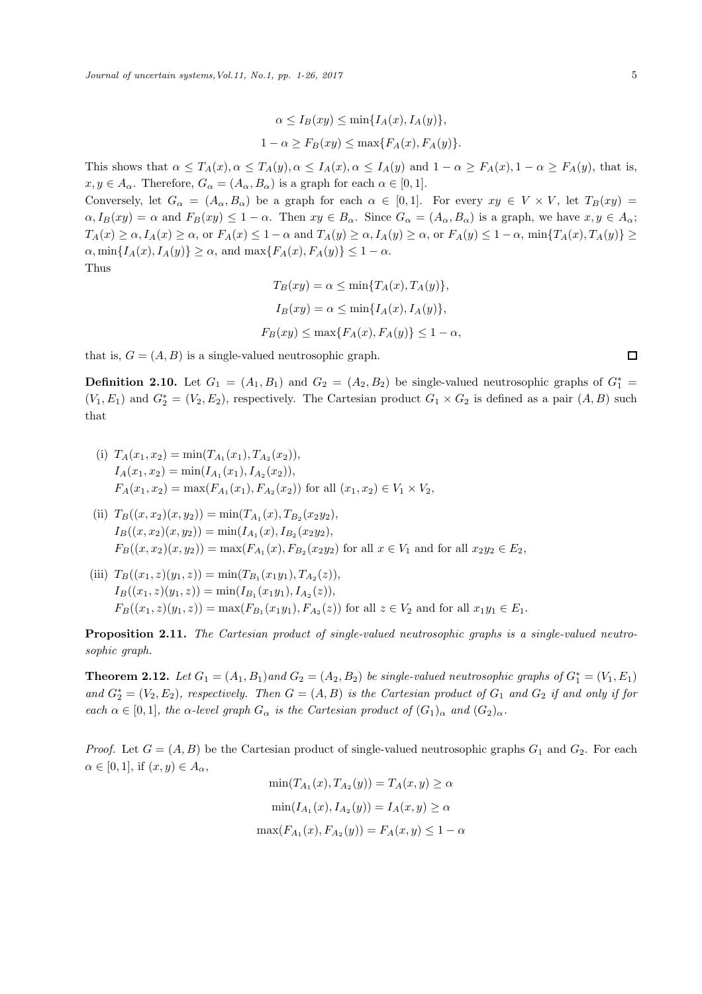$$
\alpha \le I_B(xy) \le \min\{I_A(x), I_A(y)\},
$$
  

$$
1 - \alpha \ge F_B(xy) \le \max\{F_A(x), F_A(y)\}.
$$

This shows that  $\alpha \leq T_A(x), \alpha \leq T_A(y), \alpha \leq I_A(x), \alpha \leq I_A(y)$  and  $1 - \alpha \geq F_A(x), 1 - \alpha \geq F_A(y)$ , that is,  $x, y \in A_{\alpha}$ . Therefore,  $G_{\alpha} = (A_{\alpha}, B_{\alpha})$  is a graph for each  $\alpha \in [0, 1]$ .

Conversely, let  $G_{\alpha} = (A_{\alpha}, B_{\alpha})$  be a graph for each  $\alpha \in [0, 1]$ . For every  $xy \in V \times V$ , let  $T_B(xy) =$  $\alpha, I_B(xy) = \alpha$  and  $F_B(xy) \leq 1 - \alpha$ . Then  $xy \in B_\alpha$ . Since  $G_\alpha = (A_\alpha, B_\alpha)$  is a graph, we have  $x, y \in A_\alpha$ ;  $T_A(x) \ge \alpha, I_A(x) \ge \alpha$ , or  $F_A(x) \le 1 - \alpha$  and  $T_A(y) \ge \alpha, I_A(y) \ge \alpha$ , or  $F_A(y) \le 1 - \alpha$ ,  $\min\{T_A(x), T_A(y)\} \ge$  $\alpha$ , min $\{I_A(x), I_A(y)\}\geq \alpha$ , and max $\{F_A(x), F_A(y)\}\leq 1-\alpha$ . Thus

$$
T_B(xy) = \alpha \le \min\{T_A(x), T_A(y)\},
$$
  
\n
$$
I_B(xy) = \alpha \le \min\{I_A(x), I_A(y)\},
$$
  
\n
$$
F_B(xy) \le \max\{F_A(x), F_A(y)\} \le 1 - \alpha
$$

that is,  $G = (A, B)$  is a single-valued neutrosophic graph.

**Definition 2.10.** Let  $G_1 = (A_1, B_1)$  and  $G_2 = (A_2, B_2)$  be single-valued neutrosophic graphs of  $G_1^* =$  $(V_1, E_1)$  and  $G_2^* = (V_2, E_2)$ , respectively. The Cartesian product  $G_1 \times G_2$  is defined as a pair  $(A, B)$  such that

- (i)  $T_A(x_1, x_2) = \min(T_{A_1}(x_1), T_{A_2}(x_2)),$  $I_A(x_1, x_2) = \min(I_{A_1}(x_1), I_{A_2}(x_2)),$  $F_A(x_1, x_2) = \max(F_{A_1}(x_1), F_{A_2}(x_2))$  for all  $(x_1, x_2) \in V_1 \times V_2$ ,
- (ii)  $T_B((x, x_2)(x, y_2)) = \min(T_{A_1}(x), T_{B_2}(x_2y_2),$  $I_B((x,x_2)(x,y_2)) = \min(I_{A_1}(x), I_{B_2}(x_2y_2),$  $F_B((x, x_2)(x, y_2)) = \max(F_{A_1}(x), F_{B_2}(x_2y_2))$  for all  $x \in V_1$  and for all  $x_2y_2 \in E_2$ ,
- (iii)  $T_B((x_1, z)(y_1, z)) = \min(T_{B_1}(x_1y_1), T_{A_2}(z)),$  $I_B((x_1, z)(y_1, z)) = \min(I_{B_1}(x_1y_1), I_{A_2}(z)),$  $F_B((x_1, z)(y_1, z)) = \max(F_{B_1}(x_1y_1), F_{A_2}(z))$  for all  $z \in V_2$  and for all  $x_1y_1 \in E_1$ .

Proposition 2.11. *The Cartesian product of single-valued neutrosophic graphs is a single-valued neutrosophic graph.*

**Theorem 2.12.** Let  $G_1 = (A_1, B_1)$  and  $G_2 = (A_2, B_2)$  be single-valued neutrosophic graphs of  $G_1^* = (V_1, E_1)$  $and G_2^* = (V_2, E_2),$  respectively. Then  $G = (A, B)$  is the Cartesian product of  $G_1$  and  $G_2$  *if and only if for each*  $\alpha \in [0,1]$ *, the*  $\alpha$ *-level graph*  $G_{\alpha}$  *is the Cartesian product of*  $(G_1)_{\alpha}$  *and*  $(G_2)_{\alpha}$ *.* 

*Proof.* Let  $G = (A, B)$  be the Cartesian product of single-valued neutrosophic graphs  $G_1$  and  $G_2$ . For each  $\alpha \in [0,1]$ , if  $(x,y) \in A_{\alpha}$ ,

$$
\min(T_{A_1}(x), T_{A_2}(y)) = T_A(x, y) \ge \alpha
$$
  

$$
\min(I_{A_1}(x), I_{A_2}(y)) = I_A(x, y) \ge \alpha
$$
  

$$
\max(F_{A_1}(x), F_{A_2}(y)) = F_A(x, y) \le 1 - \alpha
$$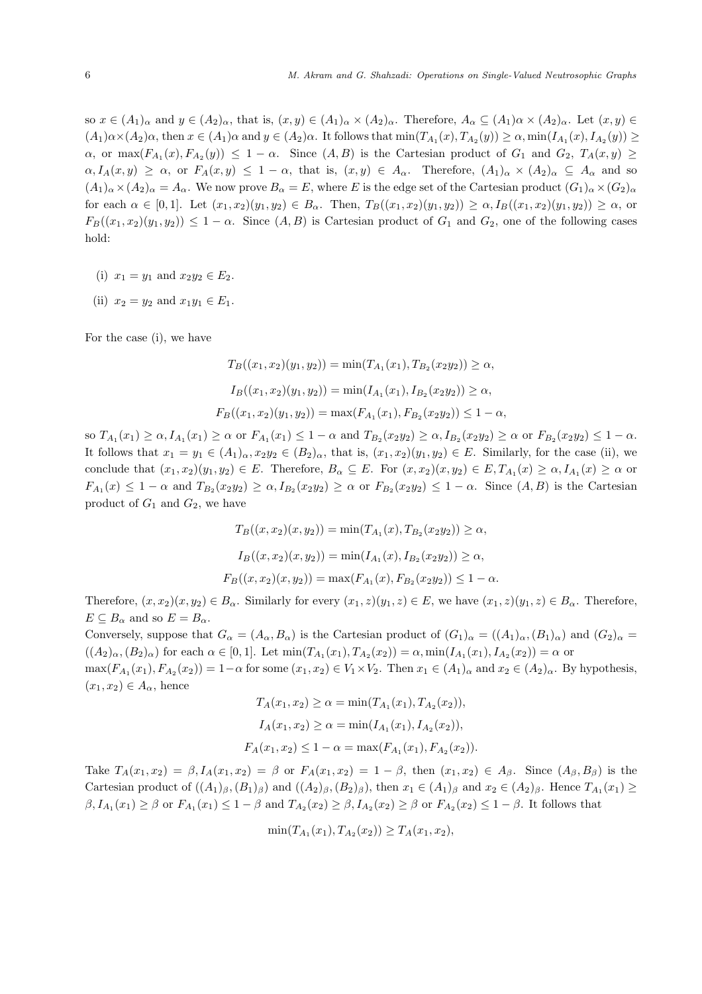so  $x \in (A_1)_\alpha$  and  $y \in (A_2)_\alpha$ , that is,  $(x, y) \in (A_1)_\alpha \times (A_2)_\alpha$ . Therefore,  $A_\alpha \subseteq (A_1)_\alpha \times (A_2)_\alpha$ . Let  $(x, y) \in$  $(A_1)\alpha\times(A_2)\alpha$ , then  $x\in(A_1)\alpha$  and  $y\in(A_2)\alpha$ . It follows that  $\min(T_{A_1}(x), T_{A_2}(y)) \ge \alpha$ ,  $\min(I_{A_1}(x), I_{A_2}(y)) \ge \alpha$  $\alpha$ , or max $(F_{A_1}(x), F_{A_2}(y)) \leq 1 - \alpha$ . Since  $(A, B)$  is the Cartesian product of  $G_1$  and  $G_2$ ,  $T_A(x, y) \geq$  $\alpha, I_A(x,y) \geq \alpha$ , or  $F_A(x,y) \leq 1-\alpha$ , that is,  $(x,y) \in A_\alpha$ . Therefore,  $(A_1)_\alpha \times (A_2)_\alpha \subseteq A_\alpha$  and so  $(A_1)_\alpha \times (A_2)_\alpha = A_\alpha$ . We now prove  $B_\alpha = E$ , where E is the edge set of the Cartesian product  $(G_1)_\alpha \times (G_2)_\alpha$ for each  $\alpha \in [0,1]$ . Let  $(x_1, x_2)(y_1, y_2) \in B_\alpha$ . Then,  $T_B((x_1, x_2)(y_1, y_2)) \ge \alpha$ ,  $I_B((x_1, x_2)(y_1, y_2)) \ge \alpha$ , or  $F_B((x_1, x_2)(y_1, y_2)) \leq 1 - \alpha$ . Since  $(A, B)$  is Cartesian product of  $G_1$  and  $G_2$ , one of the following cases hold:

- (i)  $x_1 = y_1$  and  $x_2y_2 \in E_2$ .
- (ii)  $x_2 = y_2$  and  $x_1y_1 \in E_1$ .

For the case (i), we have

$$
T_B((x_1, x_2)(y_1, y_2)) = \min(T_{A_1}(x_1), T_{B_2}(x_2y_2)) \ge \alpha,
$$
  
\n
$$
I_B((x_1, x_2)(y_1, y_2)) = \min(I_{A_1}(x_1), I_{B_2}(x_2y_2)) \ge \alpha,
$$
  
\n
$$
F_B((x_1, x_2)(y_1, y_2)) = \max(F_{A_1}(x_1), F_{B_2}(x_2y_2)) \le 1 - \alpha,
$$

 $\text{so } T_{A_1}(x_1) \geq \alpha, I_{A_1}(x_1) \geq \alpha \text{ or } F_{A_1}(x_1) \leq 1 - \alpha \text{ and } T_{B_2}(x_2y_2) \geq \alpha, I_{B_2}(x_2y_2) \geq \alpha \text{ or } F_{B_2}(x_2y_2) \leq 1 - \alpha.$ It follows that  $x_1 = y_1 \in (A_1)_{\alpha}, x_2y_2 \in (B_2)_{\alpha}$ , that is,  $(x_1, x_2)(y_1, y_2) \in E$ . Similarly, for the case (ii), we conclude that  $(x_1, x_2)(y_1, y_2) \in E$ . Therefore,  $B_\alpha \subseteq E$ . For  $(x, x_2)(x, y_2) \in E$ ,  $T_{A_1}(x) \ge \alpha$ ,  $I_{A_1}(x) \ge \alpha$  or  $F_{A_1}(x) \leq 1-\alpha$  and  $T_{B_2}(x_2y_2) \geq \alpha$ ,  $I_{B_2}(x_2y_2) \geq \alpha$  or  $F_{B_2}(x_2y_2) \leq 1-\alpha$ . Since  $(A, B)$  is the Cartesian product of  $G_1$  and  $G_2$ , we have

$$
T_B((x, x_2)(x, y_2)) = \min(T_{A_1}(x), T_{B_2}(x_2y_2)) \ge \alpha,
$$
  
\n
$$
I_B((x, x_2)(x, y_2)) = \min(I_{A_1}(x), I_{B_2}(x_2y_2)) \ge \alpha,
$$
  
\n
$$
F_B((x, x_2)(x, y_2)) = \max(F_{A_1}(x), F_{B_2}(x_2y_2)) \le 1 - \alpha.
$$

Therefore,  $(x, x_2)(x, y_2) \in B_\alpha$ . Similarly for every  $(x_1, z)(y_1, z) \in E$ , we have  $(x_1, z)(y_1, z) \in B_\alpha$ . Therefore,  $E \subseteq B_{\alpha}$  and so  $E = B_{\alpha}$ .

Conversely, suppose that  $G_{\alpha} = (A_{\alpha}, B_{\alpha})$  is the Cartesian product of  $(G_1)_{\alpha} = ((A_1)_{\alpha}, (B_1)_{\alpha})$  and  $(G_2)_{\alpha} =$  $((A_2)_{\alpha}, (B_2)_{\alpha})$  for each  $\alpha \in [0,1]$ . Let  $\min(T_{A_1}(x_1), T_{A_2}(x_2)) = \alpha, \min(I_{A_1}(x_1), I_{A_2}(x_2)) = \alpha$  or  $\max(F_{A_1}(x_1), F_{A_2}(x_2)) = 1 - \alpha$  for some  $(x_1, x_2) \in V_1 \times V_2$ . Then  $x_1 \in (A_1)_{\alpha}$  and  $x_2 \in (A_2)_{\alpha}$ . By hypothesis,  $(x_1, x_2) \in A_\alpha$ , hence

$$
T_A(x_1, x_2) \ge \alpha = \min(T_{A_1}(x_1), T_{A_2}(x_2)),
$$
  
\n
$$
I_A(x_1, x_2) \ge \alpha = \min(I_{A_1}(x_1), I_{A_2}(x_2)),
$$
  
\n
$$
F_A(x_1, x_2) \le 1 - \alpha = \max(F_{A_1}(x_1), F_{A_2}(x_2)).
$$

Take  $T_A(x_1, x_2) = \beta, I_A(x_1, x_2) = \beta$  or  $F_A(x_1, x_2) = 1 - \beta$ , then  $(x_1, x_2) \in A_\beta$ . Since  $(A_\beta, B_\beta)$  is the Cartesian product of  $((A_1)_{\beta}, (B_1)_{\beta})$  and  $((A_2)_{\beta}, (B_2)_{\beta})$ , then  $x_1 \in (A_1)_{\beta}$  and  $x_2 \in (A_2)_{\beta}$ . Hence  $T_{A_1}(x_1) \ge$  $\beta, I_{A_1}(x_1) \geq \beta$  or  $F_{A_1}(x_1) \leq 1 - \beta$  and  $T_{A_2}(x_2) \geq \beta, I_{A_2}(x_2) \geq \beta$  or  $F_{A_2}(x_2) \leq 1 - \beta$ . It follows that

$$
\min(T_{A_1}(x_1), T_{A_2}(x_2)) \ge T_A(x_1, x_2),
$$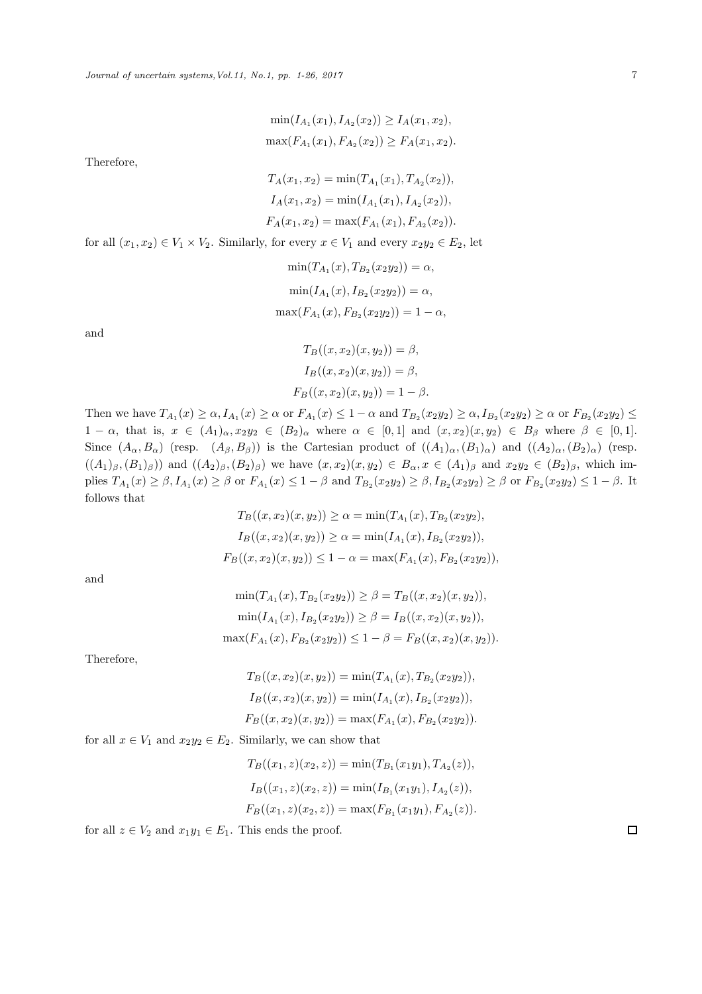$$
\min(I_{A_1}(x_1), I_{A_2}(x_2)) \ge I_A(x_1, x_2),
$$
  

$$
\max(F_{A_1}(x_1), F_{A_2}(x_2)) \ge F_A(x_1, x_2).
$$

Therefore,

$$
T_A(x_1, x_2) = \min(T_{A_1}(x_1), T_{A_2}(x_2)),
$$
  
\n
$$
I_A(x_1, x_2) = \min(I_{A_1}(x_1), I_{A_2}(x_2)),
$$
  
\n
$$
F_A(x_1, x_2) = \max(F_{A_1}(x_1), F_{A_2}(x_2)).
$$

for all  $(x_1, x_2) \in V_1 \times V_2$ . Similarly, for every  $x \in V_1$  and every  $x_2y_2 \in E_2$ , let

$$
\min(T_{A_1}(x), T_{B_2}(x_2y_2)) = \alpha,
$$
  
\n
$$
\min(I_{A_1}(x), I_{B_2}(x_2y_2)) = \alpha,
$$
  
\n
$$
\max(F_{A_1}(x), F_{B_2}(x_2y_2)) = 1 - \alpha,
$$

and

$$
T_B((x, x_2)(x, y_2)) = \beta,
$$
  
\n
$$
I_B((x, x_2)(x, y_2)) = \beta,
$$
  
\n
$$
F_B((x, x_2)(x, y_2)) = 1 - \beta.
$$

Then we have  $T_{A_1}(x) \ge \alpha$ ,  $I_{A_1}(x) \ge \alpha$  or  $F_{A_1}(x) \le 1-\alpha$  and  $T_{B_2}(x_2y_2) \ge \alpha$ ,  $I_{B_2}(x_2y_2) \ge \alpha$  or  $F_{B_2}(x_2y_2) \le \alpha$  $1 - \alpha$ , that is,  $x \in (A_1)_{\alpha}, x_2y_2 \in (B_2)_{\alpha}$  where  $\alpha \in [0,1]$  and  $(x,x_2)(x,y_2) \in B_{\beta}$  where  $\beta \in [0,1]$ . Since  $(A_{\alpha}, B_{\alpha})$  (resp.  $(A_{\beta}, B_{\beta})$ ) is the Cartesian product of  $((A_1)_{\alpha}, (B_1)_{\alpha})$  and  $((A_2)_{\alpha}, (B_2)_{\alpha})$  (resp.  $((A_1)_{\beta}, (B_1)_{\beta})$  and  $((A_2)_{\beta}, (B_2)_{\beta})$  we have  $(x, x_2)(x, y_2) \in B_{\alpha}, x \in (A_1)_{\beta}$  and  $x_2y_2 \in (B_2)_{\beta}$ , which implies  $T_{A_1}(x) \ge \beta$ ,  $I_{A_1}(x) \ge \beta$  or  $F_{A_1}(x) \le 1 - \beta$  and  $T_{B_2}(x_2y_2) \ge \beta$ ,  $I_{B_2}(x_2y_2) \ge \beta$  or  $F_{B_2}(x_2y_2) \le 1 - \beta$ . It follows that

$$
T_B((x, x_2)(x, y_2)) \ge \alpha = \min(T_{A_1}(x), T_{B_2}(x_2y_2),
$$
  
\n
$$
I_B((x, x_2)(x, y_2)) \ge \alpha = \min(I_{A_1}(x), I_{B_2}(x_2y_2)),
$$
  
\n
$$
F_B((x, x_2)(x, y_2)) \le 1 - \alpha = \max(F_{A_1}(x), F_{B_2}(x_2y_2)),
$$

and

$$
\min(T_{A_1}(x), T_{B_2}(x_2y_2)) \ge \beta = T_B((x, x_2)(x, y_2)),
$$
  
\n
$$
\min(I_{A_1}(x), I_{B_2}(x_2y_2)) \ge \beta = I_B((x, x_2)(x, y_2)),
$$
  
\n
$$
\max(F_{A_1}(x), F_{B_2}(x_2y_2)) \le 1 - \beta = F_B((x, x_2)(x, y_2)).
$$

Therefore,

$$
T_B((x, x_2)(x, y_2)) = \min(T_{A_1}(x), T_{B_2}(x_2y_2)),
$$
  
\n
$$
I_B((x, x_2)(x, y_2)) = \min(I_{A_1}(x), I_{B_2}(x_2y_2)),
$$
  
\n
$$
F_B((x, x_2)(x, y_2)) = \max(F_{A_1}(x), F_{B_2}(x_2y_2)).
$$

for all  $x \in V_1$  and  $x_2y_2 \in E_2$ . Similarly, we can show that

$$
T_B((x_1, z)(x_2, z)) = \min(T_{B_1}(x_1y_1), T_{A_2}(z)),
$$
  
\n
$$
I_B((x_1, z)(x_2, z)) = \min(I_{B_1}(x_1y_1), I_{A_2}(z)),
$$
  
\n
$$
F_B((x_1, z)(x_2, z)) = \max(F_{B_1}(x_1y_1), F_{A_2}(z)).
$$

for all  $z \in V_2$  and  $x_1y_1 \in E_1$ . This ends the proof.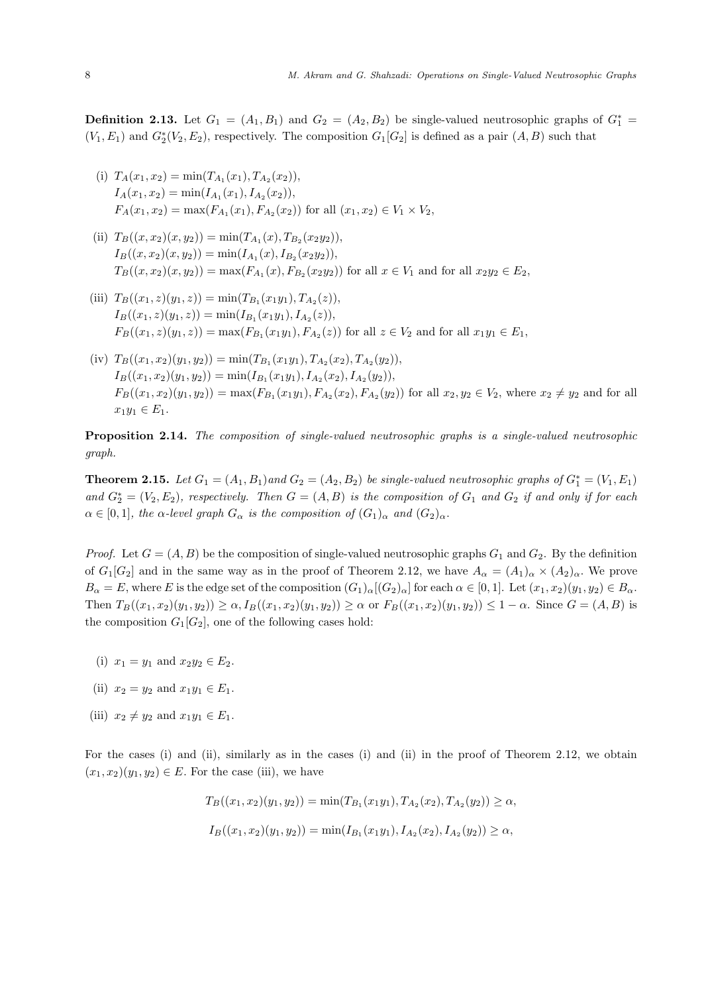**Definition 2.13.** Let  $G_1 = (A_1, B_1)$  and  $G_2 = (A_2, B_2)$  be single-valued neutrosophic graphs of  $G_1^* =$  $(V_1, E_1)$  and  $G_2^*(V_2, E_2)$ , respectively. The composition  $G_1[G_2]$  is defined as a pair  $(A, B)$  such that

- (i)  $T_A(x_1, x_2) = \min(T_{A_1}(x_1), T_{A_2}(x_2)),$  $I_A(x_1, x_2) = \min(I_{A_1}(x_1), I_{A_2}(x_2)),$  $F_A(x_1, x_2) = \max(F_{A_1}(x_1), F_{A_2}(x_2))$  for all  $(x_1, x_2) \in V_1 \times V_2$ ,
- (ii)  $T_B((x, x_2)(x, y_2)) = \min(T_{A_1}(x), T_{B_2}(x_2y_2)),$  $I_B((x,x_2)(x,y_2)) = \min(I_{A_1}(x), I_{B_2}(x_2y_2)),$  $T_B((x, x_2)(x, y_2)) = \max(F_{A_1}(x), F_{B_2}(x_2y_2))$  for all  $x \in V_1$  and for all  $x_2y_2 \in E_2$ ,
- (iii)  $T_B((x_1, z)(y_1, z)) = \min(T_{B_1}(x_1y_1), T_{A_2}(z)),$  $I_B((x_1, z)(y_1, z)) = \min(I_{B_1}(x_1y_1), I_{A_2}(z)),$  $F_B((x_1, z)(y_1, z)) = \max(F_{B_1}(x_1y_1), F_{A_2}(z))$  for all  $z \in V_2$  and for all  $x_1y_1 \in E_1$ ,
- (iv)  $T_B((x_1, x_2)(y_1, y_2)) = \min(T_{B_1}(x_1y_1), T_{A_2}(x_2), T_{A_2}(y_2)),$  $I_B((x_1,x_2)(y_1,y_2)) = \min(I_{B_1}(x_1y_1), I_{A_2}(x_2), I_{A_2}(y_2)),$  $F_B((x_1, x_2)(y_1, y_2)) = \max(F_{B_1}(x_1y_1), F_{A_2}(x_2), F_{A_2}(y_2))$  for all  $x_2, y_2 \in V_2$ , where  $x_2 \neq y_2$  and for all  $x_1y_1 \in E_1$ .

Proposition 2.14. *The composition of single-valued neutrosophic graphs is a single-valued neutrosophic graph.*

**Theorem 2.15.** Let  $G_1 = (A_1, B_1)$  and  $G_2 = (A_2, B_2)$  be single-valued neutrosophic graphs of  $G_1^* = (V_1, E_1)$  $and G_2^* = (V_2, E_2)$ , respectively. Then  $G = (A, B)$  is the composition of  $G_1$  and  $G_2$  *if and only if for each*  $\alpha \in [0,1]$ *, the*  $\alpha$ -level graph  $G_{\alpha}$  *is the composition of*  $(G_1)_{\alpha}$  *and*  $(G_2)_{\alpha}$ *.* 

*Proof.* Let  $G = (A, B)$  be the composition of single-valued neutrosophic graphs  $G_1$  and  $G_2$ . By the definition of  $G_1[G_2]$  and in the same way as in the proof of Theorem 2.12, we have  $A_\alpha = (A_1)_\alpha \times (A_2)_\alpha$ . We prove  $B_{\alpha} = E$ , where E is the edge set of the composition  $(G_1)_{\alpha}$   $[(G_2)_{\alpha}]$  for each  $\alpha \in [0,1]$ . Let  $(x_1, x_2)(y_1, y_2) \in B_{\alpha}$ . Then  $T_B((x_1, x_2)(y_1, y_2)) \ge \alpha$ ,  $I_B((x_1, x_2)(y_1, y_2)) \ge \alpha$  or  $F_B((x_1, x_2)(y_1, y_2)) \le 1 - \alpha$ . Since  $G = (A, B)$  is the composition  $G_1[G_2]$ , one of the following cases hold:

- (i)  $x_1 = y_1$  and  $x_2y_2 \in E_2$ .
- (ii)  $x_2 = y_2$  and  $x_1y_1 \in E_1$ .
- (iii)  $x_2 \neq y_2$  and  $x_1y_1 \in E_1$ .

For the cases (i) and (ii), similarly as in the cases (i) and (ii) in the proof of Theorem 2.12, we obtain  $(x_1, x_2)(y_1, y_2) \in E$ . For the case (iii), we have

$$
T_B((x_1, x_2)(y_1, y_2)) = \min(T_{B_1}(x_1y_1), T_{A_2}(x_2), T_{A_2}(y_2)) \ge \alpha,
$$
  

$$
I_B((x_1, x_2)(y_1, y_2)) = \min(I_{B_1}(x_1y_1), I_{A_2}(x_2), I_{A_2}(y_2)) \ge \alpha,
$$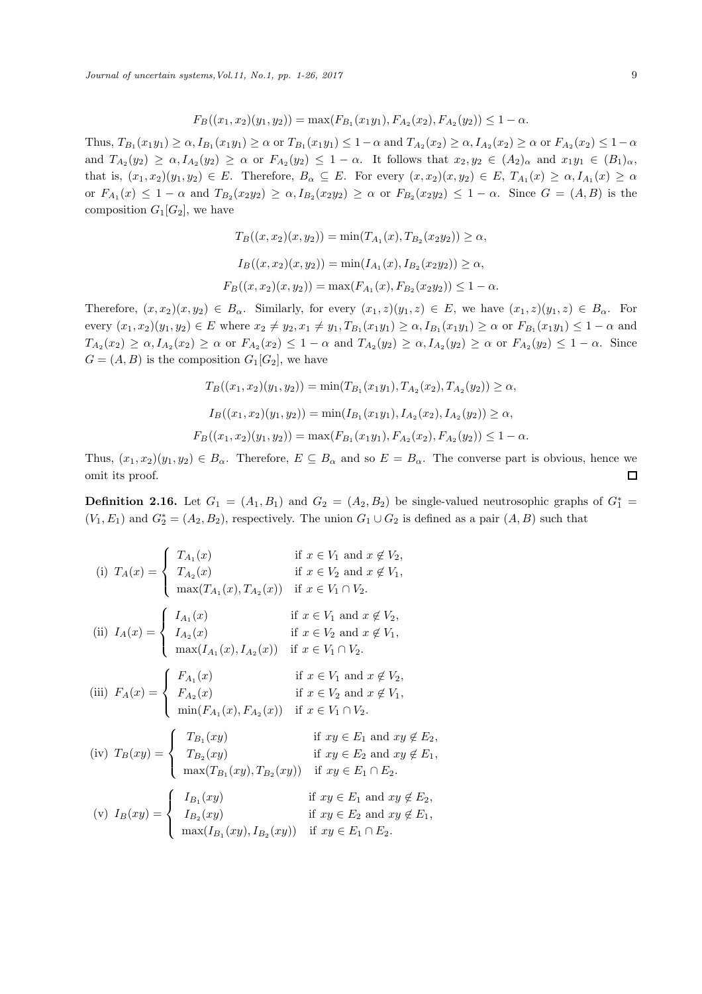*Journal of uncertain systems, Vol.11, No.1, pp. 1-26, 2017* 9

$$
F_B((x_1, x_2)(y_1, y_2)) = \max(F_{B_1}(x_1y_1), F_{A_2}(x_2), F_{A_2}(y_2)) \le 1 - \alpha.
$$

Thus,  $T_{B_1}(x_1y_1) \ge \alpha$ ,  $I_{B_1}(x_1y_1) \ge \alpha$  or  $T_{B_1}(x_1y_1) \le 1-\alpha$  and  $T_{A_2}(x_2) \ge \alpha$ ,  $I_{A_2}(x_2) \ge \alpha$  or  $F_{A_2}(x_2) \le 1-\alpha$ and  $T_{A_2}(y_2) \ge \alpha$ ,  $I_{A_2}(y_2) \ge \alpha$  or  $F_{A_2}(y_2) \le 1-\alpha$ . It follows that  $x_2, y_2 \in (A_2)_{\alpha}$  and  $x_1y_1 \in (B_1)_{\alpha}$ , that is,  $(x_1, x_2)(y_1, y_2) \in E$ . Therefore,  $B_\alpha \subseteq E$ . For every  $(x, x_2)(x, y_2) \in E$ ,  $T_{A_1}(x) \ge \alpha$ ,  $I_{A_1}(x) \ge \alpha$ or  $F_{A_1}(x) \leq 1 - \alpha$  and  $T_{B_2}(x_2y_2) \geq \alpha$ ,  $I_{B_2}(x_2y_2) \geq \alpha$  or  $F_{B_2}(x_2y_2) \leq 1 - \alpha$ . Since  $G = (A, B)$  is the composition  $G_1[G_2]$ , we have

$$
T_B((x, x_2)(x, y_2)) = \min(T_{A_1}(x), T_{B_2}(x_2y_2)) \ge \alpha,
$$
  
\n
$$
I_B((x, x_2)(x, y_2)) = \min(I_{A_1}(x), I_{B_2}(x_2y_2)) \ge \alpha,
$$
  
\n
$$
F_B((x, x_2)(x, y_2)) = \max(F_{A_1}(x), F_{B_2}(x_2y_2)) \le 1 - \alpha.
$$

Therefore,  $(x, x_2)(x, y_2) \in B_\alpha$ . Similarly, for every  $(x_1, z)(y_1, z) \in E$ , we have  $(x_1, z)(y_1, z) \in B_\alpha$ . For every  $(x_1, x_2)(y_1, y_2) \in E$  where  $x_2 \neq y_2, x_1 \neq y_1, T_{B_1}(x_1y_1) \geq \alpha, I_{B_1}(x_1y_1) \geq \alpha$  or  $F_{B_1}(x_1y_1) \leq 1 - \alpha$  and  $T_{A_2}(x_2) \ge \alpha, I_{A_2}(x_2) \ge \alpha$  or  $F_{A_2}(x_2) \le 1 - \alpha$  and  $T_{A_2}(y_2) \ge \alpha, I_{A_2}(y_2) \ge \alpha$  or  $F_{A_2}(y_2) \le 1 - \alpha$ . Since  $G = (A, B)$  is the composition  $G_1[G_2]$ , we have

$$
T_B((x_1, x_2)(y_1, y_2)) = \min(T_{B_1}(x_1y_1), T_{A_2}(x_2), T_{A_2}(y_2)) \ge \alpha,
$$
  
\n
$$
I_B((x_1, x_2)(y_1, y_2)) = \min(I_{B_1}(x_1y_1), I_{A_2}(x_2), I_{A_2}(y_2)) \ge \alpha,
$$
  
\n
$$
F_B((x_1, x_2)(y_1, y_2)) = \max(F_{B_1}(x_1y_1), F_{A_2}(x_2), F_{A_2}(y_2)) \le 1 - \alpha.
$$

Thus,  $(x_1, x_2)(y_1, y_2) \in B_\alpha$ . Therefore,  $E \subseteq B_\alpha$  and so  $E = B_\alpha$ . The converse part is obvious, hence we  $\Box$ omit its proof.

**Definition 2.16.** Let  $G_1 = (A_1, B_1)$  and  $G_2 = (A_2, B_2)$  be single-valued neutrosophic graphs of  $G_1^* =$  $(V_1, E_1)$  and  $G_2^* = (A_2, B_2)$ , respectively. The union  $G_1 \cup G_2$  is defined as a pair  $(A, B)$  such that

(i) 
$$
T_A(x) = \begin{cases} T_{A_1}(x) & \text{if } x \in V_1 \text{ and } x \notin V_2, \\ T_{A_2}(x) & \text{if } x \in V_2 \text{ and } x \notin V_1, \\ \max(T_{A_1}(x), T_{A_2}(x)) & \text{if } x \in V_1 \cap V_2. \end{cases}
$$
  
\n(ii)  $I_A(x) = \begin{cases} I_{A_1}(x) & \text{if } x \in V_1 \text{ and } x \notin V_2, \\ I_{A_2}(x) & \text{if } x \in V_2 \text{ and } x \notin V_1, \\ \max(I_{A_1}(x), I_{A_2}(x)) & \text{if } x \in V_1 \cap V_2. \end{cases}$   
\n(iii)  $F_A(x) = \begin{cases} F_{A_1}(x) & \text{if } x \in V_1 \text{ and } x \notin V_2, \\ F_{A_2}(x) & \text{if } x \in V_1 \text{ and } x \notin V_2, \\ \min(F_{A_1}(x), F_{A_2}(x)) & \text{if } x \in V_1 \cap V_2. \end{cases}$   
\n(iv)  $T_B(xy) = \begin{cases} T_{B_1}(xy) & \text{if } xy \in E_1 \text{ and } xy \notin E_2, \\ T_{B_2}(xy) & \text{if } xy \in E_2 \text{ and } xy \notin E_1, \\ \max(T_{B_1}(xy), T_{B_2}(xy)) & \text{if } xy \in E_1 \cap E_2. \end{cases}$   
\n(v)  $I_B(xy) = \begin{cases} I_{B_1}(xy) & \text{if } xy \in E_1 \text{ and } xy \notin E_2, \\ I_{B_2}(xy) & \text{if } xy \in E_2 \text{ and } xy \notin E_1, \\ \max(I_{B_1}(xy), I_{B_2}(xy)) & \text{if } xy \in E_1 \cap E_2. \end{cases}$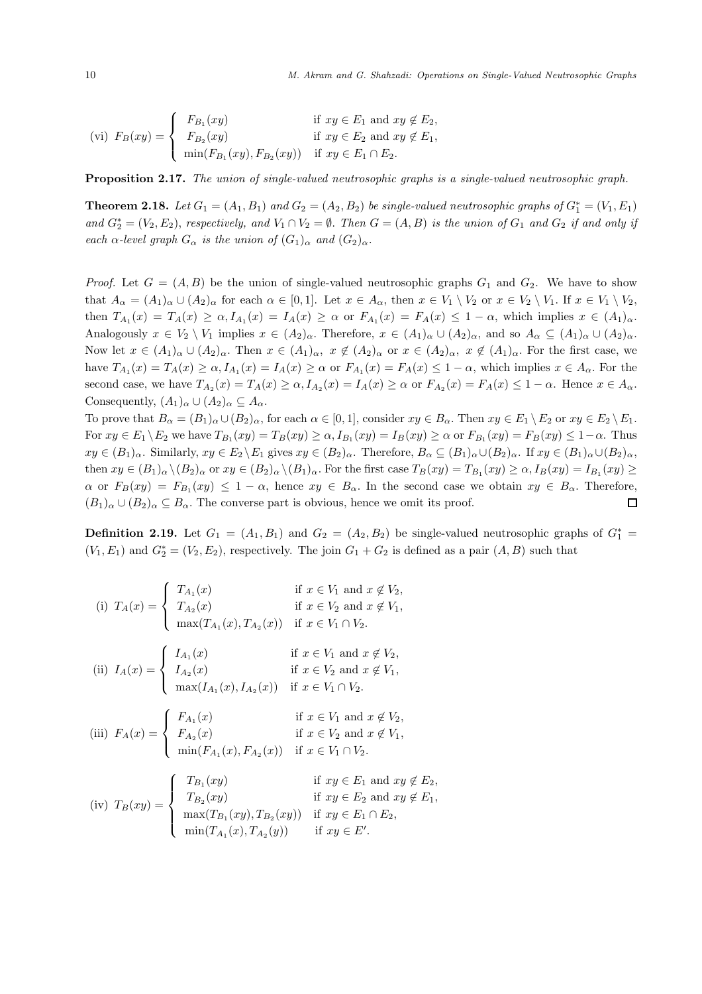$$
\text{(vi)}\ \ F_B(xy) = \begin{cases} F_{B_1}(xy) & \text{if } xy \in E_1 \text{ and } xy \notin E_2, \\ F_{B_2}(xy) & \text{if } xy \in E_2 \text{ and } xy \notin E_1, \\ \min(F_{B_1}(xy), F_{B_2}(xy)) & \text{if } xy \in E_1 \cap E_2. \end{cases}
$$

Proposition 2.17. *The union of single-valued neutrosophic graphs is a single-valued neutrosophic graph.*

**Theorem 2.18.** Let  $G_1 = (A_1, B_1)$  and  $G_2 = (A_2, B_2)$  be single-valued neutrosophic graphs of  $G_1^* = (V_1, E_1)$ and  $G_2^* = (V_2, E_2)$ , *respectively, and*  $V_1 \cap V_2 = \emptyset$ . *Then*  $G = (A, B)$  *is the union of*  $G_1$  *and*  $G_2$  *if and only if each*  $\alpha$ -level graph  $G_{\alpha}$  *is the union of*  $(G_1)_{\alpha}$  *and*  $(G_2)_{\alpha}$ *.* 

*Proof.* Let  $G = (A, B)$  be the union of single-valued neutrosophic graphs  $G_1$  and  $G_2$ . We have to show that  $A_{\alpha} = (A_1)_{\alpha} \cup (A_2)_{\alpha}$  for each  $\alpha \in [0,1]$ . Let  $x \in A_{\alpha}$ , then  $x \in V_1 \setminus V_2$  or  $x \in V_2 \setminus V_1$ . If  $x \in V_1 \setminus V_2$ , then  $T_{A_1}(x) = T_A(x) \ge \alpha$ ,  $I_{A_1}(x) = I_A(x) \ge \alpha$  or  $F_{A_1}(x) = F_A(x) \le 1 - \alpha$ , which implies  $x \in (A_1)_{\alpha}$ . Analogously  $x \in V_2 \setminus V_1$  implies  $x \in (A_2)_{\alpha}$ . Therefore,  $x \in (A_1)_{\alpha} \cup (A_2)_{\alpha}$ , and so  $A_{\alpha} \subseteq (A_1)_{\alpha} \cup (A_2)_{\alpha}$ . Now let  $x \in (A_1)_\alpha \cup (A_2)_\alpha$ . Then  $x \in (A_1)_\alpha$ ,  $x \notin (A_2)_\alpha$  or  $x \in (A_2)_\alpha$ ,  $x \notin (A_1)_\alpha$ . For the first case, we have  $T_{A_1}(x) = T_A(x) \ge \alpha$ ,  $I_{A_1}(x) = I_A(x) \ge \alpha$  or  $F_{A_1}(x) = F_A(x) \le 1 - \alpha$ , which implies  $x \in A_\alpha$ . For the second case, we have  $T_{A_2}(x) = T_A(x) \ge \alpha$ ,  $I_{A_2}(x) = I_A(x) \ge \alpha$  or  $F_{A_2}(x) = F_A(x) \le 1 - \alpha$ . Hence  $x \in A_\alpha$ . Consequently,  $(A_1)_{\alpha} \cup (A_2)_{\alpha} \subseteq A_{\alpha}$ .

To prove that  $B_{\alpha} = (B_1)_{\alpha} \cup (B_2)_{\alpha}$ , for each  $\alpha \in [0,1]$ , consider  $xy \in B_{\alpha}$ . Then  $xy \in E_1 \setminus E_2$  or  $xy \in E_2 \setminus E_1$ . For  $xy \in E_1 \setminus E_2$  we have  $T_{B_1}(xy) = T_B(xy) \ge \alpha$ ,  $I_{B_1}(xy) = I_B(xy) \ge \alpha$  or  $F_{B_1}(xy) = F_B(xy) \le 1 - \alpha$ . Thus  $xy \in (B_1)_\alpha$ . Similarly,  $xy \in E_2 \backslash E_1$  gives  $xy \in (B_2)_\alpha$ . Therefore,  $B_\alpha \subseteq (B_1)_\alpha \cup (B_2)_\alpha$ . If  $xy \in (B_1)_\alpha \cup (B_2)_\alpha$ , then  $xy \in (B_1)_\alpha \setminus (B_2)_\alpha$  or  $xy \in (B_2)_\alpha \setminus (B_1)_\alpha$ . For the first case  $T_B(xy) = T_{B_1}(xy) \ge \alpha$ ,  $I_B(xy) = I_{B_1}(xy) \ge$  $\alpha$  or  $F_B(xy) = F_{B_1}(xy) \leq 1 - \alpha$ , hence  $xy \in B_\alpha$ . In the second case we obtain  $xy \in B_\alpha$ . Therefore,  $(B_1)_\alpha \cup (B_2)_\alpha \subseteq B_\alpha$ . The converse part is obvious, hence we omit its proof.  $\Box$ 

**Definition 2.19.** Let  $G_1 = (A_1, B_1)$  and  $G_2 = (A_2, B_2)$  be single-valued neutrosophic graphs of  $G_1^* =$  $(V_1, E_1)$  and  $G_2^* = (V_2, E_2)$ , respectively. The join  $G_1 + G_2$  is defined as a pair  $(A, B)$  such that

(i) 
$$
T_A(x) = \begin{cases} T_{A_1}(x) & \text{if } x \in V_1 \text{ and } x \notin V_2, \\ T_{A_2}(x) & \text{if } x \in V_2 \text{ and } x \notin V_1, \\ \max(T_{A_1}(x), T_{A_2}(x)) & \text{if } x \in V_1 \cap V_2. \end{cases}
$$
  
\n(ii)  $I_A(x) = \begin{cases} I_{A_1}(x) & \text{if } x \in V_1 \text{ and } x \notin V_2, \\ I_{A_2}(x) & \text{if } x \in V_2 \text{ and } x \notin V_1, \\ \max(I_{A_1}(x), I_{A_2}(x)) & \text{if } x \in V_1 \cap V_2. \end{cases}$   
\n(iii)  $F_A(x) = \begin{cases} F_{A_1}(x) & \text{if } x \in V_1 \text{ and } x \notin V_2, \\ F_{A_2}(x) & \text{if } x \in V_2 \text{ and } x \notin V_1, \\ \min(F_{A_1}(x), F_{A_2}(x)) & \text{if } x \in V_1 \cap V_2. \end{cases}$   
\n
$$
\begin{cases} T_{B_1}(xy) & \text{if } xy \in E_1 \text{ and } xy \notin E_2, \\ T_{B_2}(x) & \text{if } xy \in E_1 \text{ and } xy \notin E_2, \\ T_{B_3}(x) & \text{if } xy \in E_3 \text{ and } xy \notin E_3. \end{cases}
$$

(iv) 
$$
T_B(xy) = \begin{cases} T_{B_1}(xy) & \text{if } xy \in E_1 \text{ and } xy \notin E_2, \\ T_{B_2}(xy) & \text{if } xy \in E_2 \text{ and } xy \notin E_1, \\ \max(T_{B_1}(xy), T_{B_2}(xy)) & \text{if } xy \in E_1 \cap E_2, \\ \min(T_{A_1}(x), T_{A_2}(y)) & \text{if } xy \in E'. \end{cases}
$$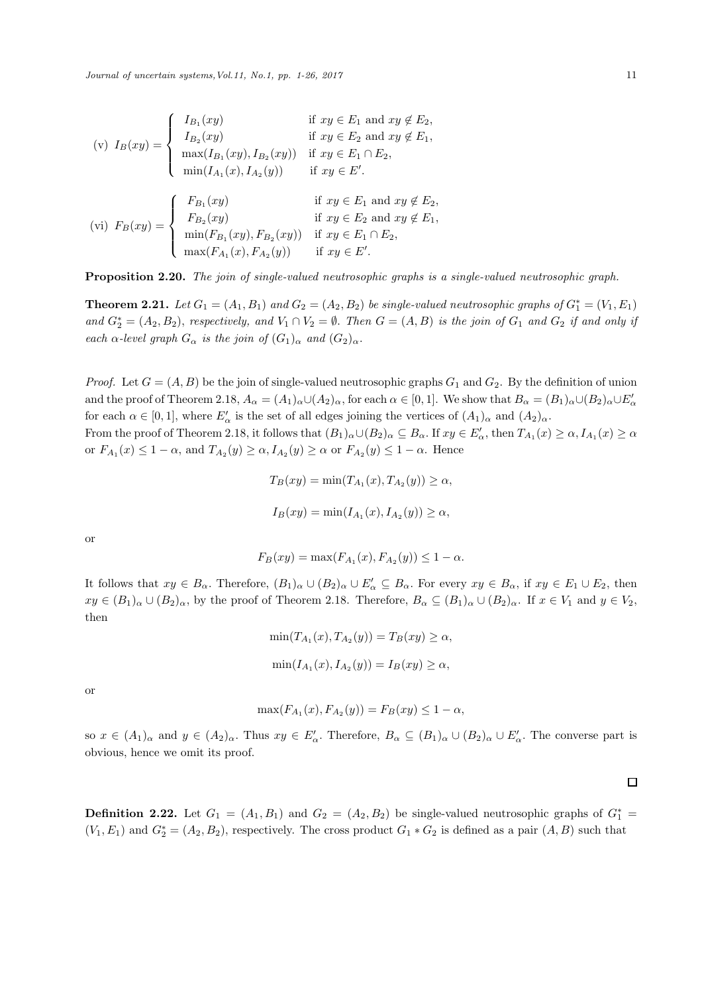$$
\begin{aligned}\n(v) \ I_B(xy) &= \begin{cases}\nI_{B_1}(xy) & \text{if } xy \in E_1 \text{ and } xy \notin E_2, \\
I_{B_2}(xy) & \text{if } xy \in E_2 \text{ and } xy \notin E_1, \\
\max(I_{B_1}(xy), I_{B_2}(xy)) & \text{if } xy \in E_1 \cap E_2, \\
\min(I_{A_1}(x), I_{A_2}(y)) & \text{if } xy \in E'.\n\end{cases} \\
(vi) \ F_B(xy) &= \begin{cases}\nF_{B_1}(xy) & \text{if } xy \in E_1 \text{ and } xy \notin E_2, \\
F_{B_2}(xy) & \text{if } xy \in E_2 \text{ and } xy \notin E_1, \\
\min(F_{B_1}(xy), F_{B_2}(xy)) & \text{if } xy \in E_1 \cap E_2, \\
\max(F_{A_1}(x), F_{A_2}(y)) & \text{if } xy \in E'.\n\end{cases}\n\end{aligned}
$$

Proposition 2.20. *The join of single-valued neutrosophic graphs is a single-valued neutrosophic graph.*

**Theorem 2.21.** Let  $G_1 = (A_1, B_1)$  and  $G_2 = (A_2, B_2)$  be single-valued neutrosophic graphs of  $G_1^* = (V_1, E_1)$  $and G_2^* = (A_2, B_2),$  *respectively, and*  $V_1 \cap V_2 = \emptyset$ . *Then*  $G = (A, B)$  *is the join of*  $G_1$  *and*  $G_2$  *if and only if each*  $\alpha$ *-level graph*  $G_{\alpha}$  *is the join of*  $(G_1)_{\alpha}$  *and*  $(G_2)_{\alpha}$ *.* 

*Proof.* Let  $G = (A, B)$  be the join of single-valued neutrosophic graphs  $G_1$  and  $G_2$ . By the definition of union and the proof of Theorem 2.18,  $A_{\alpha} = (A_1)_{\alpha} \cup (A_2)_{\alpha}$ , for each  $\alpha \in [0,1]$ . We show that  $B_{\alpha} = (B_1)_{\alpha} \cup (B_2)_{\alpha} \cup E'_{\alpha}$ for each  $\alpha \in [0,1]$ , where  $E'_\alpha$  is the set of all edges joining the vertices of  $(A_1)_{\alpha}$  and  $(A_2)_{\alpha}$ .

From the proof of Theorem 2.18, it follows that  $(B_1)_{\alpha} \cup (B_2)_{\alpha} \subseteq B_{\alpha}$ . If  $xy \in E'_{\alpha}$ , then  $T_{A_1}(x) \geq \alpha$ ,  $I_{A_1}(x) \geq \alpha$ or  $F_{A_1}(x) \leq 1 - \alpha$ , and  $T_{A_2}(y) \geq \alpha$ ,  $I_{A_2}(y) \geq \alpha$  or  $F_{A_2}(y) \leq 1 - \alpha$ . Hence

$$
T_B(xy) = \min(T_{A_1}(x), T_{A_2}(y)) \ge \alpha,
$$
  

$$
I_B(xy) = \min(I_{A_1}(x), I_{A_2}(y)) \ge \alpha,
$$

or

$$
F_B(xy) = \max(F_{A_1}(x), F_{A_2}(y)) \le 1 - \alpha.
$$

It follows that  $xy \in B_\alpha$ . Therefore,  $(B_1)_\alpha \cup (B_2)_\alpha \cup E'_\alpha \subseteq B_\alpha$ . For every  $xy \in B_\alpha$ , if  $xy \in E_1 \cup E_2$ , then  $xy \in (B_1)_\alpha \cup (B_2)_\alpha$ , by the proof of Theorem 2.18. Therefore,  $B_\alpha \subseteq (B_1)_\alpha \cup (B_2)_\alpha$ . If  $x \in V_1$  and  $y \in V_2$ , then

$$
\min(T_{A_1}(x), T_{A_2}(y)) = T_B(xy) \ge \alpha,
$$
  

$$
\min(I_{A_1}(x), I_{A_2}(y)) = I_B(xy) \ge \alpha,
$$

or

$$
\max(F_{A_1}(x), F_{A_2}(y)) = F_B(xy) \le 1 - \alpha,
$$

so  $x \in (A_1)_{\alpha}$  and  $y \in (A_2)_{\alpha}$ . Thus  $xy \in E'_{\alpha}$ . Therefore,  $B_{\alpha} \subseteq (B_1)_{\alpha} \cup (B_2)_{\alpha} \cup E'_{\alpha}$ . The converse part is obvious, hence we omit its proof.

**Definition 2.22.** Let  $G_1 = (A_1, B_1)$  and  $G_2 = (A_2, B_2)$  be single-valued neutrosophic graphs of  $G_1^* =$  $(V_1, E_1)$  and  $G_2^* = (A_2, B_2)$ , respectively. The cross product  $G_1 * G_2$  is defined as a pair  $(A, B)$  such that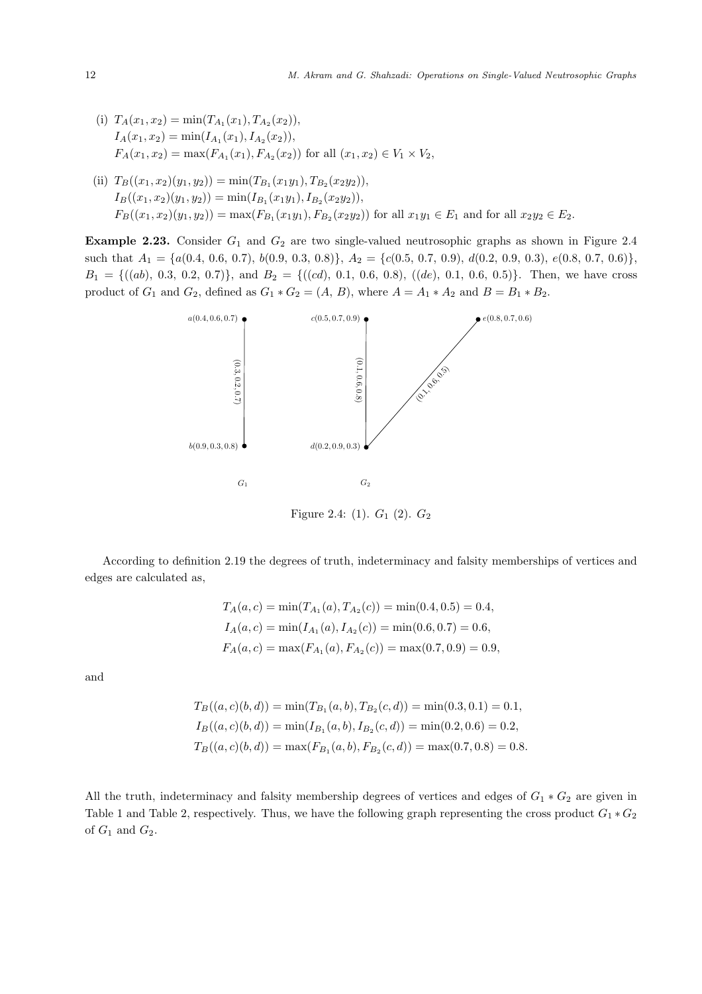- (i)  $T_A(x_1, x_2) = \min(T_{A_1}(x_1), T_{A_2}(x_2)),$  $I_A(x_1, x_2) = \min(I_{A_1}(x_1), I_{A_2}(x_2)),$  $F_A(x_1, x_2) = \max(F_{A_1}(x_1), F_{A_2}(x_2))$  for all  $(x_1, x_2) \in V_1 \times V_2$ ,
- (ii)  $T_B((x_1, x_2)(y_1, y_2)) = \min(T_{B_1}(x_1y_1), T_{B_2}(x_2y_2)),$  $I_B((x_1,x_2)(y_1,y_2)) = \min(I_{B_1}(x_1y_1), I_{B_2}(x_2y_2)),$  $F_B((x_1, x_2)(y_1, y_2)) = \max(F_{B_1}(x_1y_1), F_{B_2}(x_2y_2))$  for all  $x_1y_1 \in E_1$  and for all  $x_2y_2 \in E_2$ .

**Example 2.23.** Consider  $G_1$  and  $G_2$  are two single-valued neutrosophic graphs as shown in Figure 2.4 such that  $A_1 = \{a(0.4, 0.6, 0.7), b(0.9, 0.3, 0.8)\}, A_2 = \{c(0.5, 0.7, 0.9), d(0.2, 0.9, 0.3), e(0.8, 0.7, 0.6)\},\$  $B_1 = \{((ab), 0.3, 0.2, 0.7)\}, \text{ and } B_2 = \{((cd), 0.1, 0.6, 0.8), ((de), 0.1, 0.6, 0.5)\}.$  Then, we have cross product of  $G_1$  and  $G_2$ , defined as  $G_1 * G_2 = (A, B)$ , where  $A = A_1 * A_2$  and  $B = B_1 * B_2$ .



Figure 2.4: (1).  $G_1$  (2).  $G_2$ 

According to definition 2.19 the degrees of truth, indeterminacy and falsity memberships of vertices and edges are calculated as,

$$
T_A(a, c) = \min(T_{A_1}(a), T_{A_2}(c)) = \min(0.4, 0.5) = 0.4,
$$
  
\n
$$
I_A(a, c) = \min(I_{A_1}(a), I_{A_2}(c)) = \min(0.6, 0.7) = 0.6,
$$
  
\n
$$
F_A(a, c) = \max(F_{A_1}(a), F_{A_2}(c)) = \max(0.7, 0.9) = 0.9,
$$

and

$$
T_B((a, c)(b, d)) = \min(T_{B_1}(a, b), T_{B_2}(c, d)) = \min(0.3, 0.1) = 0.1,
$$
  
\n
$$
I_B((a, c)(b, d)) = \min(I_{B_1}(a, b), I_{B_2}(c, d)) = \min(0.2, 0.6) = 0.2,
$$
  
\n
$$
T_B((a, c)(b, d)) = \max(F_{B_1}(a, b), F_{B_2}(c, d)) = \max(0.7, 0.8) = 0.8.
$$

All the truth, indeterminacy and falsity membership degrees of vertices and edges of  $G_1 * G_2$  are given in Table 1 and Table 2, respectively. Thus, we have the following graph representing the cross product  $G_1 * G_2$ of  $G_1$  and  $G_2$ .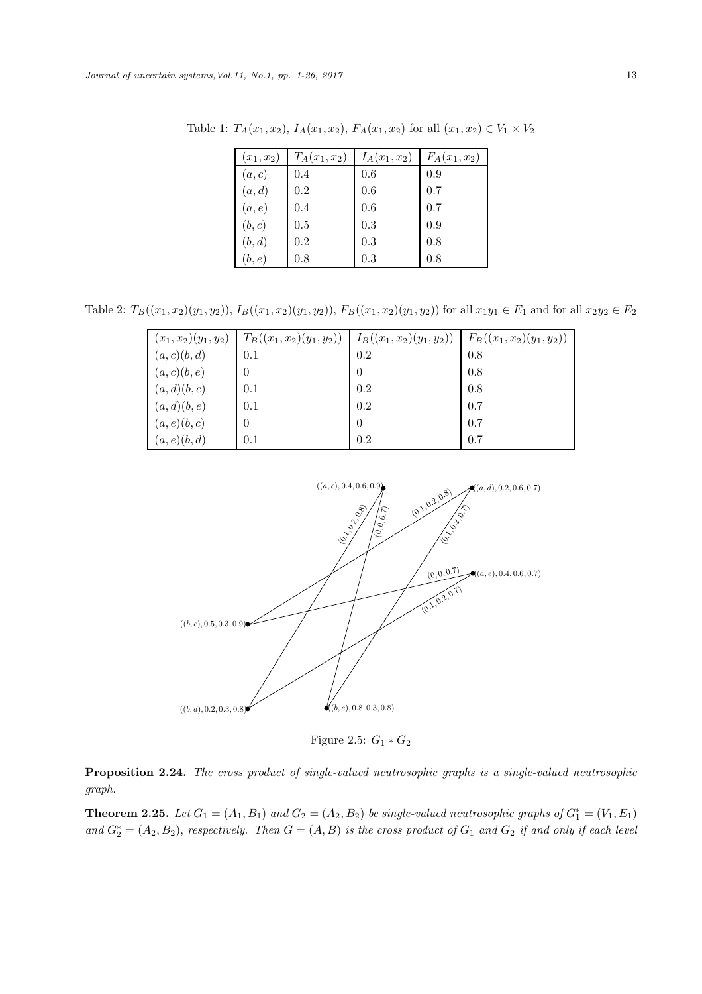| $(x_1, x_2)$ | $T_A(x_1,x_2)$ | $I_A(x_1,x_2)$ | $F_A(x_1, x_2)$ |
|--------------|----------------|----------------|-----------------|
| (a, c)       | 0.4            | 0.6            | 0.9             |
| (a,d)        | 0.2            | 0.6            | 0.7             |
| (a,e)        | 0.4            | 0.6            | 0.7             |
| (b, c)       | 0.5            | 0.3            | 0.9             |
| (b,d)        | 0.2            | 0.3            | 0.8             |
| (b,e)        | 0.8            | 0.3            | 0.8             |

Table 1:  $T_A(x_1, x_2)$ ,  $I_A(x_1, x_2)$ ,  $F_A(x_1, x_2)$  for all  $(x_1, x_2) \in V_1 \times V_2$ 

Table 2:  $T_B((x_1, x_2)(y_1, y_2)), I_B((x_1, x_2)(y_1, y_2)), F_B((x_1, x_2)(y_1, y_2))$  for all  $x_1y_1 \in E_1$  and for all  $x_2y_2 \in E_2$ 

| $(x_1, x_2)(y_1, y_2)$ | $T_B((x_1,x_2)(y_1,y_2))$ | $I_B((x_1,x_2)(y_1,y_2))$ | $F_B((x_1,x_2)(y_1,y_2))$ |
|------------------------|---------------------------|---------------------------|---------------------------|
| (a,c)(b,d)             | 0.1                       | 0.2                       | 0.8                       |
| (a, c)(b, e)           | 0                         | 0                         | 0.8                       |
| (a,d)(b,c)             | 0.1                       | 0.2                       | 0.8                       |
| (a,d)(b,e)             | 0.1                       | 0.2                       | 0.7                       |
| (a,e)(b,c)             | $\overline{0}$            | 0                         | 0.7                       |
| (a,e)(b,d)             | 0.1                       | 0.2                       | 0.7                       |



Figure 2.5:  $G_1 * G_2$ 

Proposition 2.24. *The cross product of single-valued neutrosophic graphs is a single-valued neutrosophic graph.*

**Theorem 2.25.** Let  $G_1 = (A_1, B_1)$  and  $G_2 = (A_2, B_2)$  be single-valued neutrosophic graphs of  $G_1^* = (V_1, E_1)$  $and G_2^* = (A_2, B_2),$  *respectively. Then*  $G = (A, B)$  *is the cross product of*  $G_1$  *and*  $G_2$  *if and only if each level*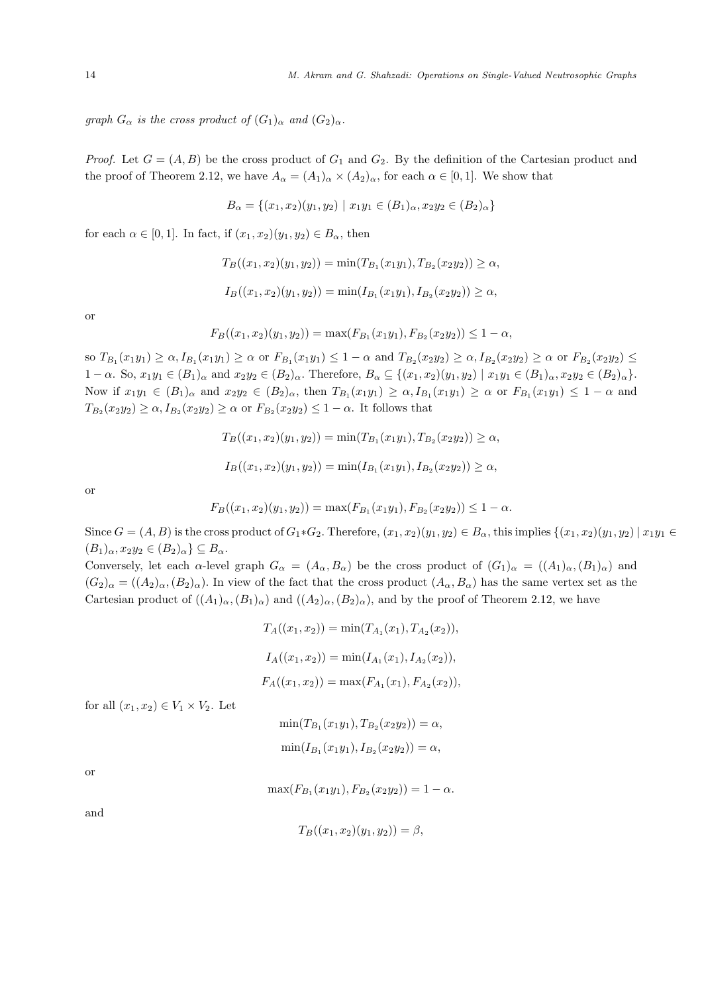*graph*  $G_{\alpha}$  *is the cross product of*  $(G_1)_{\alpha}$  *and*  $(G_2)_{\alpha}$ *.* 

*Proof.* Let  $G = (A, B)$  be the cross product of  $G_1$  and  $G_2$ . By the definition of the Cartesian product and the proof of Theorem 2.12, we have  $A_{\alpha} = (A_1)_{\alpha} \times (A_2)_{\alpha}$ , for each  $\alpha \in [0,1]$ . We show that

$$
B_{\alpha} = \{(x_1, x_2)(y_1, y_2) \mid x_1 y_1 \in (B_1)_{\alpha}, x_2 y_2 \in (B_2)_{\alpha}\}\
$$

for each  $\alpha \in [0, 1]$ . In fact, if  $(x_1, x_2)(y_1, y_2) \in B_\alpha$ , then

$$
T_B((x_1, x_2)(y_1, y_2)) = \min(T_{B_1}(x_1y_1), T_{B_2}(x_2y_2)) \ge \alpha,
$$

$$
I_B((x_1,x_2)(y_1,y_2)) = \min(I_{B_1}(x_1y_1), I_{B_2}(x_2y_2)) \ge \alpha,
$$

or

$$
F_B((x_1, x_2)(y_1, y_2)) = \max(F_{B_1}(x_1y_1), F_{B_2}(x_2y_2)) \le 1 - \alpha,
$$

 $\text{so } T_{B_1}(x_1y_1) \ge \alpha, I_{B_1}(x_1y_1) \ge \alpha \text{ or } F_{B_1}(x_1y_1) \le 1-\alpha \text{ and } T_{B_2}(x_2y_2) \ge \alpha, I_{B_2}(x_2y_2) \ge \alpha \text{ or } F_{B_2}(x_2y_2) \le \alpha$  $1 - \alpha$ . So,  $x_1y_1 \in (B_1)_{\alpha}$  and  $x_2y_2 \in (B_2)_{\alpha}$ . Therefore,  $B_{\alpha} \subseteq \{(x_1, x_2)(y_1, y_2) \mid x_1y_1 \in (B_1)_{\alpha}, x_2y_2 \in (B_2)_{\alpha}\}.$ Now if  $x_1y_1 \in (B_1)_{\alpha}$  and  $x_2y_2 \in (B_2)_{\alpha}$ , then  $T_{B_1}(x_1y_1) \geq \alpha$ ,  $I_{B_1}(x_1y_1) \geq \alpha$  or  $F_{B_1}(x_1y_1) \leq 1-\alpha$  and  $T_{B_2}(x_2y_2) \ge \alpha$ ,  $I_{B_2}(x_2y_2) \ge \alpha$  or  $F_{B_2}(x_2y_2) \le 1-\alpha$ . It follows that

$$
T_B((x_1, x_2)(y_1, y_2)) = \min(T_{B_1}(x_1y_1), T_{B_2}(x_2y_2)) \ge \alpha,
$$
  

$$
I_B((x_1, x_2)(y_1, y_2)) = \min(I_{B_1}(x_1y_1), I_{B_2}(x_2y_2)) \ge \alpha,
$$

or

$$
F_B((x_1,x_2)(y_1,y_2)) = \max(F_{B_1}(x_1y_1), F_{B_2}(x_2y_2)) \le 1 - \alpha.
$$

Since  $G = (A, B)$  is the cross product of  $G_1 * G_2$ . Therefore,  $(x_1, x_2)(y_1, y_2) \in B_\alpha$ , this implies  $\{(x_1, x_2)(y_1, y_2) \mid x_1y_1 \in B_\alpha\}$  $(B_1)_{\alpha}, x_2y_2 \in (B_2)_{\alpha} \subseteq B_{\alpha}.$ 

Conversely, let each  $\alpha$ -level graph  $G_{\alpha} = (A_{\alpha}, B_{\alpha})$  be the cross product of  $(G_1)_{\alpha} = ((A_1)_{\alpha}, (B_1)_{\alpha})$  and  $(G_2)_{\alpha} = ((A_2)_{\alpha}, (B_2)_{\alpha})$ . In view of the fact that the cross product  $(A_{\alpha}, B_{\alpha})$  has the same vertex set as the Cartesian product of  $((A_1)_{\alpha}, (B_1)_{\alpha})$  and  $((A_2)_{\alpha}, (B_2)_{\alpha})$ , and by the proof of Theorem 2.12, we have

$$
T_A((x_1, x_2)) = \min(T_{A_1}(x_1), T_{A_2}(x_2)),
$$
  
\n
$$
I_A((x_1, x_2)) = \min(I_{A_1}(x_1), I_{A_2}(x_2)),
$$
  
\n
$$
F_A((x_1, x_2)) = \max(F_{A_1}(x_1), F_{A_2}(x_2)),
$$

for all  $(x_1, x_2) \in V_1 \times V_2$ . Let

$$
\min(T_{B_1}(x_1y_1), T_{B_2}(x_2y_2)) = \alpha,
$$
  

$$
\min(I_{B_1}(x_1y_1), I_{B_2}(x_2y_2)) = \alpha,
$$

or

$$
\max(F_{B_1}(x_1y_1), F_{B_2}(x_2y_2)) = 1 - \alpha.
$$

and

$$
T_B((x_1, x_2)(y_1, y_2)) = \beta,
$$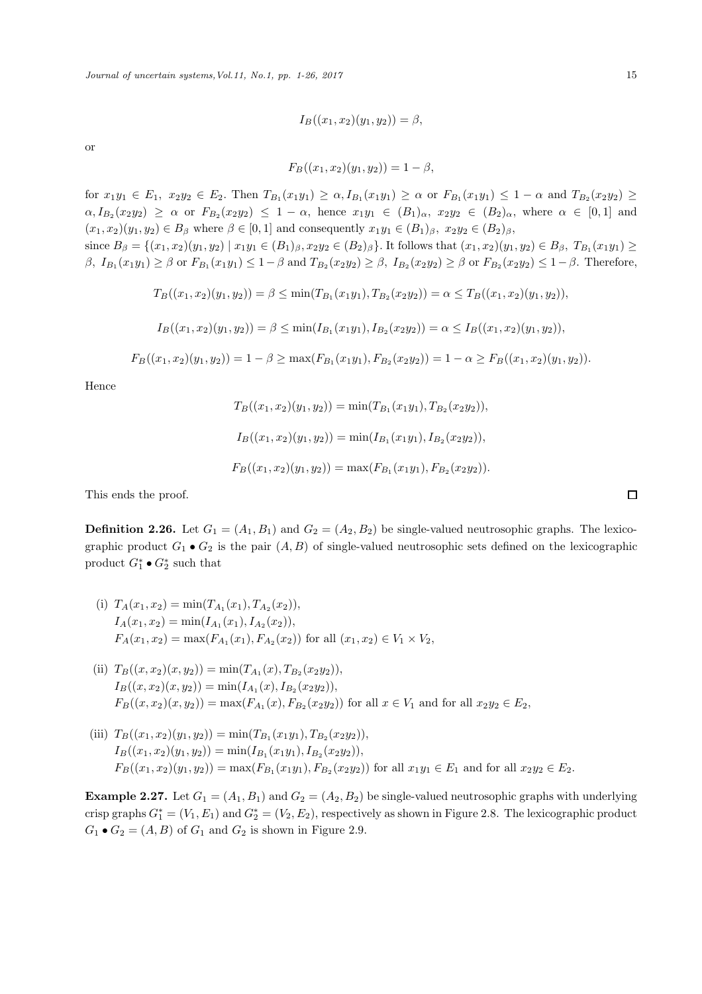$$
I_B((x_1, x_2)(y_1, y_2)) = \beta,
$$

or

$$
F_B((x_1, x_2)(y_1, y_2)) = 1 - \beta,
$$

for  $x_1y_1 \in E_1$ ,  $x_2y_2 \in E_2$ . Then  $T_{B_1}(x_1y_1) \ge \alpha$ ,  $I_{B_1}(x_1y_1) \ge \alpha$  or  $F_{B_1}(x_1y_1) \le 1 - \alpha$  and  $T_{B_2}(x_2y_2) \ge$  $\alpha, I_{B_2}(x_2y_2) \geq \alpha$  or  $F_{B_2}(x_2y_2) \leq 1-\alpha$ , hence  $x_1y_1 \in (B_1)_{\alpha}$ ,  $x_2y_2 \in (B_2)_{\alpha}$ , where  $\alpha \in [0,1]$  and  $(x_1, x_2)(y_1, y_2) \in B_\beta$  where  $\beta \in [0, 1]$  and consequently  $x_1y_1 \in (B_1)_\beta$ ,  $x_2y_2 \in (B_2)_\beta$ ,

since  $B_{\beta} = \{(x_1, x_2)(y_1, y_2) \mid x_1y_1 \in (B_1)_{\beta}, x_2y_2 \in (B_2)_{\beta}\}.$  It follows that  $(x_1, x_2)(y_1, y_2) \in B_{\beta}, T_{B_1}(x_1y_1) \ge$ β,  $I_{B_1}(x_1y_1) ≥ β$  or  $F_{B_1}(x_1y_1) ≤ 1-β$  and  $T_{B_2}(x_2y_2) ≥ β$ ,  $I_{B_2}(x_2y_2) ≥ β$  or  $F_{B_2}(x_2y_2) ≤ 1-β$ . Therefore,

$$
T_B((x_1,x_2)(y_1,y_2)) = \beta \le \min(T_{B_1}(x_1y_1),T_{B_2}(x_2y_2)) = \alpha \le T_B((x_1,x_2)(y_1,y_2)),
$$

$$
I_B((x_1,x_2)(y_1,y_2)) = \beta \le \min(I_{B_1}(x_1y_1), I_{B_2}(x_2y_2)) = \alpha \le I_B((x_1,x_2)(y_1,y_2)),
$$

$$
F_B((x_1, x_2)(y_1, y_2)) = 1 - \beta \ge \max(F_{B_1}(x_1y_1), F_{B_2}(x_2y_2)) = 1 - \alpha \ge F_B((x_1, x_2)(y_1, y_2)).
$$

Hence

$$
T_B((x_1, x_2)(y_1, y_2)) = \min(T_{B_1}(x_1y_1), T_{B_2}(x_2y_2)),
$$
  
\n
$$
I_B((x_1, x_2)(y_1, y_2)) = \min(I_{B_1}(x_1y_1), I_{B_2}(x_2y_2)),
$$
  
\n
$$
F_B((x_1, x_2)(y_1, y_2)) = \max(F_{B_1}(x_1y_1), F_{B_2}(x_2y_2)).
$$

This ends the proof.

**Definition 2.26.** Let  $G_1 = (A_1, B_1)$  and  $G_2 = (A_2, B_2)$  be single-valued neutrosophic graphs. The lexicographic product  $G_1 \bullet G_2$  is the pair  $(A, B)$  of single-valued neutrosophic sets defined on the lexicographic product  $G_1^* \bullet G_2^*$  such that

- (i)  $T_A(x_1, x_2) = \min(T_{A_1}(x_1), T_{A_2}(x_2)),$  $I_A(x_1, x_2) = \min(I_{A_1}(x_1), I_{A_2}(x_2)),$  $F_A(x_1, x_2) = \max(F_{A_1}(x_1), F_{A_2}(x_2))$  for all  $(x_1, x_2) \in V_1 \times V_2$ ,
- (ii)  $T_B((x, x_2)(x, y_2)) = \min(T_{A_1}(x), T_{B_2}(x_2y_2)),$  $I_B((x,x_2)(x,y_2)) = \min(I_{A_1}(x), I_{B_2}(x_2y_2)),$  $F_B((x, x_2)(x, y_2)) = \max(F_{A_1}(x), F_{B_2}(x_2y_2))$  for all  $x \in V_1$  and for all  $x_2y_2 \in E_2$ ,
- (iii)  $T_B((x_1, x_2)(y_1, y_2)) = \min(T_{B_1}(x_1y_1), T_{B_2}(x_2y_2)),$  $I_B((x_1,x_2)(y_1,y_2)) = \min(I_{B_1}(x_1y_1), I_{B_2}(x_2y_2)),$  $F_B((x_1, x_2)(y_1, y_2)) = \max(F_{B_1}(x_1y_1), F_{B_2}(x_2y_2))$  for all  $x_1y_1 \in E_1$  and for all  $x_2y_2 \in E_2$ .

**Example 2.27.** Let  $G_1 = (A_1, B_1)$  and  $G_2 = (A_2, B_2)$  be single-valued neutrosophic graphs with underlying crisp graphs  $G_1^* = (V_1, E_1)$  and  $G_2^* = (V_2, E_2)$ , respectively as shown in Figure 2.8. The lexicographic product  $G_1 \bullet G_2 = (A, B)$  of  $G_1$  and  $G_2$  is shown in Figure 2.9.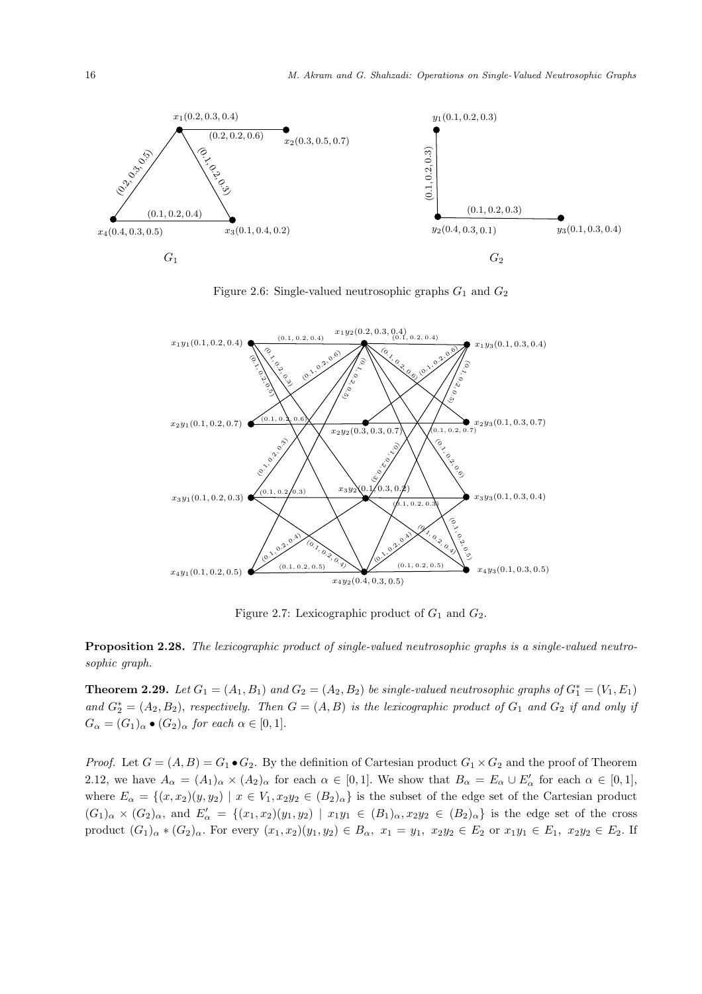

Figure 2.6: Single-valued neutrosophic graphs  $G_1$  and  $G_2$ 



Figure 2.7: Lexicographic product of  $G_1$  and  $G_2$ .

Proposition 2.28. *The lexicographic product of single-valued neutrosophic graphs is a single-valued neutrosophic graph.*

**Theorem 2.29.** Let  $G_1 = (A_1, B_1)$  and  $G_2 = (A_2, B_2)$  be single-valued neutrosophic graphs of  $G_1^* = (V_1, E_1)$  $and G_2^* = (A_2, B_2),$  *respectively. Then*  $G = (A, B)$  *is the lexicographic product of*  $G_1$  *and*  $G_2$  *if and only if*  $G_{\alpha} = (G_1)_{\alpha} \bullet (G_2)_{\alpha}$  for each  $\alpha \in [0,1]$ .

*Proof.* Let  $G = (A, B) = G_1 \bullet G_2$ . By the definition of Cartesian product  $G_1 \times G_2$  and the proof of Theorem 2.12, we have  $A_{\alpha} = (A_1)_{\alpha} \times (A_2)_{\alpha}$  for each  $\alpha \in [0,1]$ . We show that  $B_{\alpha} = E_{\alpha} \cup E'_{\alpha}$  for each  $\alpha \in [0,1]$ , where  $E_{\alpha} = \{(x, x_2)(y, y_2) \mid x \in V_1, x_2y_2 \in (B_2)_{\alpha}\}\$ is the subset of the edge set of the Cartesian product  $(G_1)_{\alpha} \times (G_2)_{\alpha}$ , and  $E'_{\alpha} = \{(x_1,x_2)(y_1,y_2) \mid x_1y_1 \in (B_1)_{\alpha}, x_2y_2 \in (B_2)_{\alpha}\}\$ is the edge set of the cross product  $(G_1)_\alpha * (G_2)_\alpha$ . For every  $(x_1, x_2)(y_1, y_2) \in B_\alpha$ ,  $x_1 = y_1$ ,  $x_2y_2 \in E_2$  or  $x_1y_1 \in E_1$ ,  $x_2y_2 \in E_2$ . If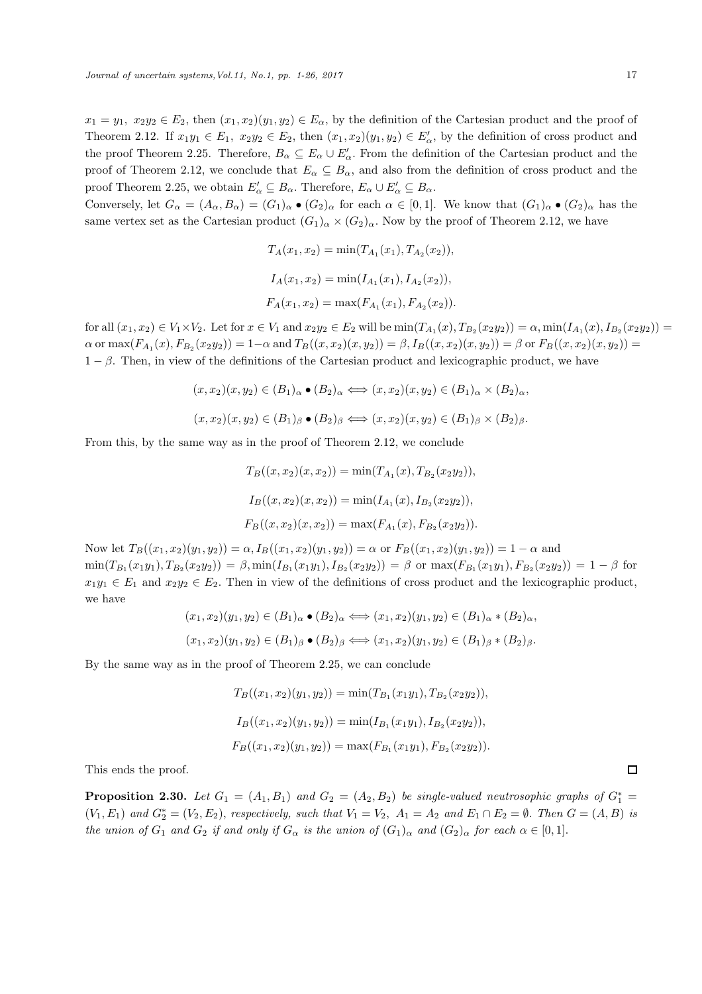$x_1 = y_1, x_2y_2 \in E_2$ , then  $(x_1, x_2)(y_1, y_2) \in E_\alpha$ , by the definition of the Cartesian product and the proof of Theorem 2.12. If  $x_1y_1 \in E_1$ ,  $x_2y_2 \in E_2$ , then  $(x_1, x_2)(y_1, y_2) \in E'_\alpha$ , by the definition of cross product and the proof Theorem 2.25. Therefore,  $B_{\alpha} \subseteq E_{\alpha} \cup E'_{\alpha}$ . From the definition of the Cartesian product and the proof of Theorem 2.12, we conclude that  $E_{\alpha} \subseteq B_{\alpha}$ , and also from the definition of cross product and the proof Theorem 2.25, we obtain  $E'_{\alpha} \subseteq B_{\alpha}$ . Therefore,  $E_{\alpha} \cup E'_{\alpha} \subseteq B_{\alpha}$ .

Conversely, let  $G_{\alpha} = (A_{\alpha}, B_{\alpha}) = (G_1)_{\alpha} \bullet (G_2)_{\alpha}$  for each  $\alpha \in [0,1]$ . We know that  $(G_1)_{\alpha} \bullet (G_2)_{\alpha}$  has the same vertex set as the Cartesian product  $(G_1)_{\alpha} \times (G_2)_{\alpha}$ . Now by the proof of Theorem 2.12, we have

$$
T_A(x_1, x_2) = \min(T_{A_1}(x_1), T_{A_2}(x_2)),
$$
  
\n
$$
I_A(x_1, x_2) = \min(I_{A_1}(x_1), I_{A_2}(x_2)),
$$
  
\n
$$
F_A(x_1, x_2) = \max(F_{A_1}(x_1), F_{A_2}(x_2)).
$$

for all  $(x_1, x_2) \in V_1 \times V_2$ . Let for  $x \in V_1$  and  $x_2y_2 \in E_2$  will be  $\min(T_{A_1}(x), T_{B_2}(x_2y_2)) = \alpha$ ,  $\min(I_{A_1}(x), I_{B_2}(x_2y_2)) =$  $\alpha$  or  $\max(F_{A_1}(x), F_{B_2}(x_2y_2)) = 1-\alpha$  and  $T_B((x, x_2)(x, y_2)) = \beta$ ,  $I_B((x, x_2)(x, y_2)) = \beta$  or  $F_B((x, x_2)(x, y_2)) =$  $1 - \beta$ . Then, in view of the definitions of the Cartesian product and lexicographic product, we have

$$
(x, x_2)(x, y_2) \in (B_1)_\alpha \bullet (B_2)_\alpha \Longleftrightarrow (x, x_2)(x, y_2) \in (B_1)_\alpha \times (B_2)_\alpha,
$$
  

$$
(x, x_2)(x, y_2) \in (B_1)_\beta \bullet (B_2)_\beta \Longleftrightarrow (x, x_2)(x, y_2) \in (B_1)_\beta \times (B_2)_\beta.
$$

From this, by the same way as in the proof of Theorem 2.12, we conclude

$$
T_B((x, x_2)(x, x_2)) = \min(T_{A_1}(x), T_{B_2}(x_2y_2)),
$$
  
\n
$$
I_B((x, x_2)(x, x_2)) = \min(I_{A_1}(x), I_{B_2}(x_2y_2)),
$$
  
\n
$$
F_B((x, x_2)(x, x_2)) = \max(F_{A_1}(x), F_{B_2}(x_2y_2)).
$$

Now let  $T_B((x_1, x_2)(y_1, y_2)) = \alpha$ ,  $I_B((x_1, x_2)(y_1, y_2)) = \alpha$  or  $F_B((x_1, x_2)(y_1, y_2)) = 1 - \alpha$  and  $\min(T_{B_1}(x_1y_1), T_{B_2}(x_2y_2)) = \beta, \min(I_{B_1}(x_1y_1), I_{B_2}(x_2y_2)) = \beta$  or  $\max(F_{B_1}(x_1y_1), F_{B_2}(x_2y_2)) = 1 - \beta$  for  $x_1y_1 \in E_1$  and  $x_2y_2 \in E_2$ . Then in view of the definitions of cross product and the lexicographic product, we have

$$
(x_1, x_2)(y_1, y_2) \in (B_1)_\alpha \bullet (B_2)_\alpha \Longleftrightarrow (x_1, x_2)(y_1, y_2) \in (B_1)_\alpha \ast (B_2)_\alpha,
$$
  

$$
(x_1, x_2)(y_1, y_2) \in (B_1)_\beta \bullet (B_2)_\beta \Longleftrightarrow (x_1, x_2)(y_1, y_2) \in (B_1)_\beta \ast (B_2)_\beta.
$$

By the same way as in the proof of Theorem 2.25, we can conclude

$$
T_B((x_1, x_2)(y_1, y_2)) = \min(T_{B_1}(x_1y_1), T_{B_2}(x_2y_2)),
$$
  
\n
$$
I_B((x_1, x_2)(y_1, y_2)) = \min(I_{B_1}(x_1y_1), I_{B_2}(x_2y_2)),
$$
  
\n
$$
F_B((x_1, x_2)(y_1, y_2)) = \max(F_{B_1}(x_1y_1), F_{B_2}(x_2y_2)).
$$

This ends the proof.

**Proposition 2.30.** Let  $G_1 = (A_1, B_1)$  and  $G_2 = (A_2, B_2)$  be single-valued neutrosophic graphs of  $G_1^* =$  $(V_1, E_1)$  and  $G_2^* = (V_2, E_2)$ , *respectively, such that*  $V_1 = V_2$ ,  $A_1 = A_2$  and  $E_1 \cap E_2 = \emptyset$ . *Then*  $G = (A, B)$  *is the union of*  $G_1$  *and*  $G_2$  *if and only if*  $G_\alpha$  *is the union of*  $(G_1)_{\alpha}$  *and*  $(G_2)_{\alpha}$  *for each*  $\alpha \in [0,1]$ *.*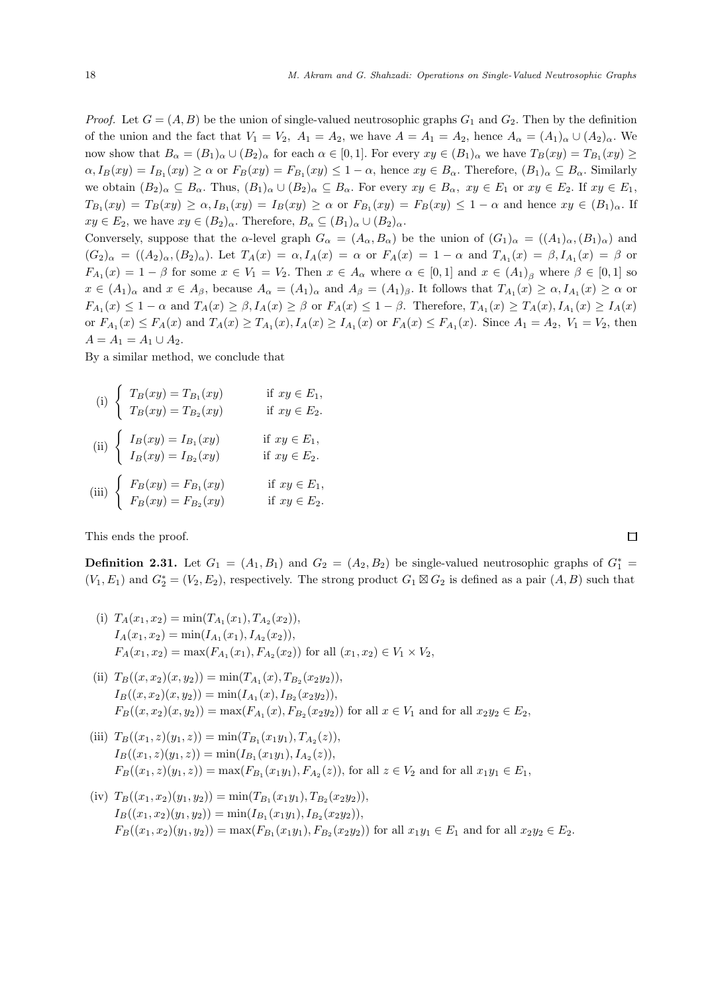*Proof.* Let  $G = (A, B)$  be the union of single-valued neutrosophic graphs  $G_1$  and  $G_2$ . Then by the definition of the union and the fact that  $V_1 = V_2$ ,  $A_1 = A_2$ , we have  $A = A_1 = A_2$ , hence  $A_\alpha = (A_1)_\alpha \cup (A_2)_\alpha$ . We now show that  $B_\alpha = (B_1)_\alpha \cup (B_2)_\alpha$  for each  $\alpha \in [0,1]$ . For every  $xy \in (B_1)_\alpha$  we have  $T_B(xy) = T_{B_1}(xy) \ge$  $\alpha, I_B(xy) = I_{B_1}(xy) \ge \alpha$  or  $F_B(xy) = F_{B_1}(xy) \le 1 - \alpha$ , hence  $xy \in B_\alpha$ . Therefore,  $(B_1)_\alpha \subseteq B_\alpha$ . Similarly we obtain  $(B_2)_\alpha \subseteq B_\alpha$ . Thus,  $(B_1)_\alpha \cup (B_2)_\alpha \subseteq B_\alpha$ . For every  $xy \in B_\alpha$ ,  $xy \in E_1$  or  $xy \in E_2$ . If  $xy \in E_1$ ,  $T_{B_1}(xy) = T_B(xy) \ge \alpha, I_{B_1}(xy) = I_B(xy) \ge \alpha$  or  $F_{B_1}(xy) = F_B(xy) \le 1 - \alpha$  and hence  $xy \in (B_1)_{\alpha}$ . If  $xy \in E_2$ , we have  $xy \in (B_2)_\alpha$ . Therefore,  $B_\alpha \subseteq (B_1)_\alpha \cup (B_2)_\alpha$ .

Conversely, suppose that the α-level graph  $G_{\alpha} = (A_{\alpha}, B_{\alpha})$  be the union of  $(G_1)_{\alpha} = ((A_1)_{\alpha}, (B_1)_{\alpha})$  and  $(G_2)_{\alpha} = ((A_2)_{\alpha}, (B_2)_{\alpha}).$  Let  $T_A(x) = \alpha, I_A(x) = \alpha$  or  $F_A(x) = 1 - \alpha$  and  $T_{A_1}(x) = \beta, I_{A_1}(x) = \beta$  or  $F_{A_1}(x) = 1 - \beta$  for some  $x \in V_1 = V_2$ . Then  $x \in A_\alpha$  where  $\alpha \in [0,1]$  and  $x \in (A_1)_{\beta}$  where  $\beta \in [0,1]$  so  $x \in (A_1)_\alpha$  and  $x \in A_\beta$ , because  $A_\alpha = (A_1)_\alpha$  and  $A_\beta = (A_1)_\beta$ . It follows that  $T_{A_1}(x) \ge \alpha$ ,  $I_{A_1}(x) \ge \alpha$  or  $F_{A_1}(x) \leq 1 - \alpha$  and  $T_A(x) \geq \beta$ ,  $I_A(x) \geq \beta$  or  $F_A(x) \leq 1 - \beta$ . Therefore,  $T_{A_1}(x) \geq T_A(x)$ ,  $I_{A_1}(x) \geq I_A(x)$ or  $F_{A_1}(x) \le F_A(x)$  and  $T_A(x) \ge T_{A_1}(x)$ ,  $I_A(x) \ge I_{A_1}(x)$  or  $F_A(x) \le F_{A_1}(x)$ . Since  $A_1 = A_2$ ,  $V_1 = V_2$ , then  $A = A_1 = A_1 \cup A_2.$ 

By a similar method, we conclude that

(i)  $\begin{cases} T_B(xy) = T_{B_1}(xy) & \text{if } xy \in E_1, \end{cases}$  $T_B(xy) = T_{B_2}(xy)$  if  $xy \in E_2$ .

(ii) 
$$
\begin{cases} I_B(xy) = I_{B_1}(xy) & \text{if } xy \in E_1, \\ I_B(xy) = I_{B_2}(xy) & \text{if } xy \in E_2. \end{cases}
$$

(iii)  $\begin{cases} F_B(xy) = F_{B_1}(xy) & \text{if } xy \in E_1, \end{cases}$  $F_B(xy) = F_{B_2}(xy)$  if  $xy \in E_2$ .

This ends the proof.

**Definition 2.31.** Let  $G_1 = (A_1, B_1)$  and  $G_2 = (A_2, B_2)$  be single-valued neutrosophic graphs of  $G_1^* =$  $(V_1, E_1)$  and  $G_2^* = (V_2, E_2)$ , respectively. The strong product  $G_1 \boxtimes G_2$  is defined as a pair  $(A, B)$  such that

- (i)  $T_A(x_1, x_2) = \min(T_{A_1}(x_1), T_{A_2}(x_2)),$  $I_A(x_1, x_2) = \min(I_{A_1}(x_1), I_{A_2}(x_2)),$  $F_A(x_1, x_2) = \max(F_{A_1}(x_1), F_{A_2}(x_2))$  for all  $(x_1, x_2) \in V_1 \times V_2$ ,
- (ii)  $T_B((x, x_2)(x, y_2)) = \min(T_{A_1}(x), T_{B_2}(x_2y_2)),$  $I_B((x,x_2)(x,y_2)) = \min(I_{A_1}(x), I_{B_2}(x_2y_2)),$  $F_B((x, x_2)(x, y_2)) = \max(F_{A_1}(x), F_{B_2}(x_2y_2))$  for all  $x \in V_1$  and for all  $x_2y_2 \in E_2$ ,
- (iii)  $T_B((x_1, z)(y_1, z)) = \min(T_{B_1}(x_1y_1), T_{A_2}(z)),$  $I_B((x_1, z)(y_1, z)) = \min(I_{B_1}(x_1y_1), I_{A_2}(z)),$  $F_B((x_1, z)(y_1, z)) = \max(F_{B_1}(x_1y_1), F_{A_2}(z))$ , for all  $z \in V_2$  and for all  $x_1y_1 \in E_1$ ,
- (iv)  $T_B((x_1, x_2)(y_1, y_2)) = \min(T_{B_1}(x_1y_1), T_{B_2}(x_2y_2)),$  $I_B((x_1,x_2)(y_1,y_2)) = \min(I_{B_1}(x_1y_1), I_{B_2}(x_2y_2)),$  $F_B((x_1, x_2)(y_1, y_2)) = \max(F_{B_1}(x_1y_1), F_{B_2}(x_2y_2))$  for all  $x_1y_1 \in E_1$  and for all  $x_2y_2 \in E_2$ .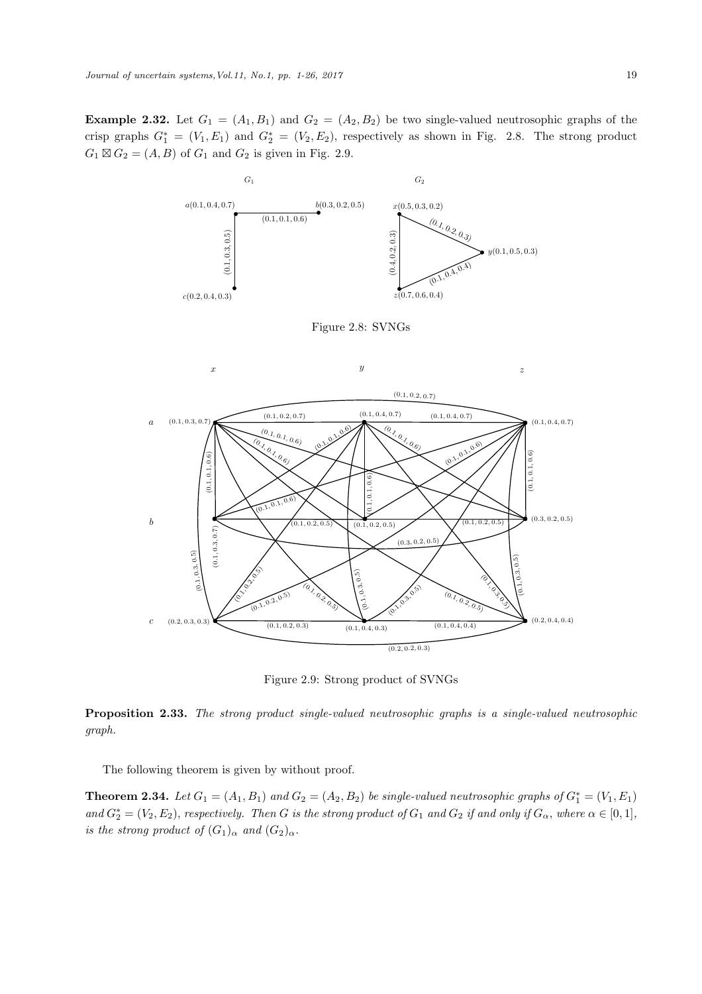**Example 2.32.** Let  $G_1 = (A_1, B_1)$  and  $G_2 = (A_2, B_2)$  be two single-valued neutrosophic graphs of the crisp graphs  $G_1^* = (V_1, E_1)$  and  $G_2^* = (V_2, E_2)$ , respectively as shown in Fig. 2.8. The strong product  $G_1 \boxtimes G_2 = (A, B)$  of  $G_1$  and  $G_2$  is given in Fig. 2.9.



Figure 2.8: SVNGs



Figure 2.9: Strong product of SVNGs

Proposition 2.33. *The strong product single-valued neutrosophic graphs is a single-valued neutrosophic graph.*

The following theorem is given by without proof.

**Theorem 2.34.** Let  $G_1 = (A_1, B_1)$  and  $G_2 = (A_2, B_2)$  be single-valued neutrosophic graphs of  $G_1^* = (V_1, E_1)$  $and G_2^* = (V_2, E_2)$ , *respectively. Then* G *is the strong product of*  $G_1$  *and*  $G_2$  *if and only if*  $G_\alpha$ *, where*  $\alpha \in [0, 1]$ *, is the strong product of*  $(G_1)_{\alpha}$  *and*  $(G_2)_{\alpha}$ *.*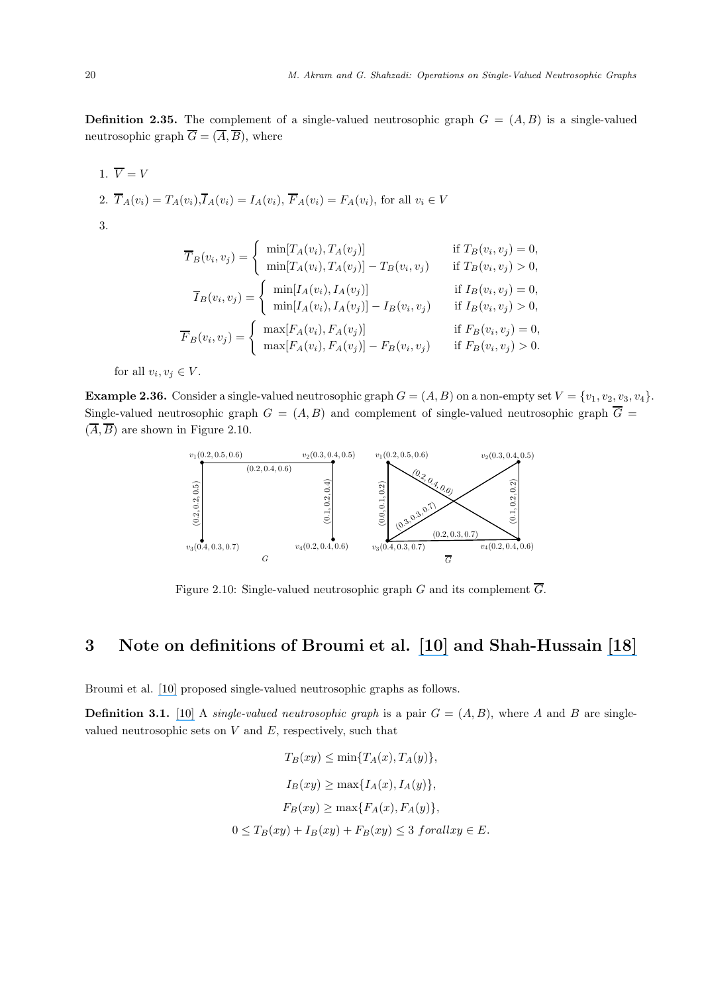**Definition 2.35.** The complement of a single-valued neutrosophic graph  $G = (A, B)$  is a single-valued neutrosophic graph  $\overline{G} = (\overline{A}, \overline{B})$ , where

1.  $\overline{V} = V$ 2.  $\overline{T}_A(v_i) = T_A(v_i), \overline{T}_A(v_i) = I_A(v_i), \overline{F}_A(v_i) = F_A(v_i)$ , for all  $v_i \in V$ 3.

$$
\overline{T}_B(v_i, v_j) = \begin{cases}\n\min[T_A(v_i), T_A(v_j)] & \text{if } T_B(v_i, v_j) = 0, \\
\min[T_A(v_i), T_A(v_j)] - T_B(v_i, v_j) & \text{if } T_B(v_i, v_j) > 0, \\
\overline{T}_B(v_i, v_j) = \begin{cases}\n\min[I_A(v_i), I_A(v_j)] & \text{if } I_B(v_i, v_j) = 0, \\
\min[I_A(v_i), I_A(v_j)] - I_B(v_i, v_j) & \text{if } I_B(v_i, v_j) > 0,\n\end{cases} \\
\overline{F}_B(v_i, v_j) = \begin{cases}\n\max[F_A(v_i), F_A(v_j)] & \text{if } F_B(v_i, v_j) = 0, \\
\max[F_A(v_i), F_A(v_j)] - F_B(v_i, v_j) & \text{if } F_B(v_i, v_j) > 0.\n\end{cases}\n\end{cases}
$$

for all  $v_i, v_j \in V$ .

**Example 2.36.** Consider a single-valued neutrosophic graph  $G = (A, B)$  on a non-empty set  $V = \{v_1, v_2, v_3, v_4\}.$ Single-valued neutrosophic graph  $G = (A, B)$  and complement of single-valued neutrosophic graph  $\overline{G}$  =  $(\overline{A}, \overline{B})$  are shown in Figure 2.10.



Figure 2.10: Single-valued neutrosophic graph G and its complement  $\overline{G}$ .

# 3 Note on definitions of Broumi et al. [\[10\]](https://www.researchgate.net/publication/293882298_SINGLE_VALUED_NEUTROSOPHIC_GRAPHS?el=1_x_8&enrichId=rgreq-c15ba1f73910ed1953694f8b6745d424-XXX&enrichSource=Y292ZXJQYWdlOzMxMTQyNjYzNDtBUzo0Mzg0MzE1MDg2MzU2NTBAMTQ4MTU0MTYyNTg2NQ==) and Shah-Hussain [\[18\]](https://www.researchgate.net/publication/309179119_Neutrosophic_Soft_Graphs?el=1_x_8&enrichId=rgreq-c15ba1f73910ed1953694f8b6745d424-XXX&enrichSource=Y292ZXJQYWdlOzMxMTQyNjYzNDtBUzo0Mzg0MzE1MDg2MzU2NTBAMTQ4MTU0MTYyNTg2NQ==)

Broumi et al. [\[10\]](https://www.researchgate.net/publication/293882298_SINGLE_VALUED_NEUTROSOPHIC_GRAPHS?el=1_x_8&enrichId=rgreq-c15ba1f73910ed1953694f8b6745d424-XXX&enrichSource=Y292ZXJQYWdlOzMxMTQyNjYzNDtBUzo0Mzg0MzE1MDg2MzU2NTBAMTQ4MTU0MTYyNTg2NQ==) proposed single-valued neutrosophic graphs as follows.

**Definition 3.1.** [\[10\]](https://www.researchgate.net/publication/293882298_SINGLE_VALUED_NEUTROSOPHIC_GRAPHS?el=1_x_8&enrichId=rgreq-c15ba1f73910ed1953694f8b6745d424-XXX&enrichSource=Y292ZXJQYWdlOzMxMTQyNjYzNDtBUzo0Mzg0MzE1MDg2MzU2NTBAMTQ4MTU0MTYyNTg2NQ==) A *single-valued neutrosophic graph* is a pair  $G = (A, B)$ , where A and B are singlevalued neutrosophic sets on  $V$  and  $E$ , respectively, such that

$$
T_B(xy) \le \min\{T_A(x), T_A(y)\},
$$
  
\n
$$
I_B(xy) \ge \max\{I_A(x), I_A(y)\},
$$
  
\n
$$
F_B(xy) \ge \max\{F_A(x), F_A(y)\},
$$
  
\n
$$
0 \le T_B(xy) + I_B(xy) + F_B(xy) \le 3 \ for all xy \in E.
$$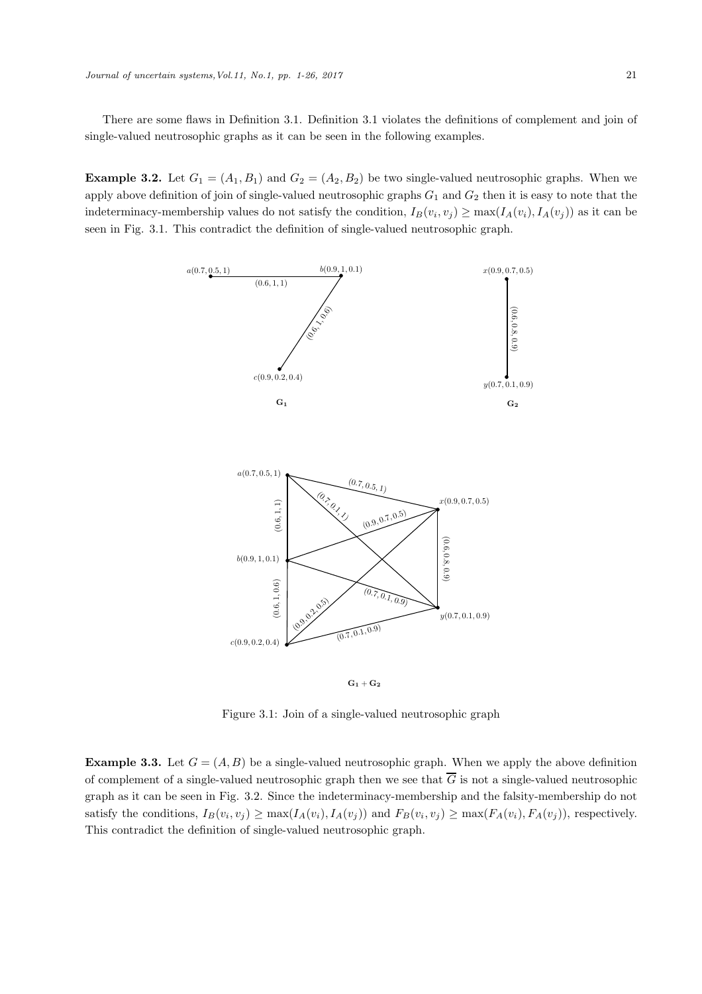There are some flaws in Definition 3.1. Definition 3.1 violates the definitions of complement and join of single-valued neutrosophic graphs as it can be seen in the following examples.

**Example 3.2.** Let  $G_1 = (A_1, B_1)$  and  $G_2 = (A_2, B_2)$  be two single-valued neutrosophic graphs. When we apply above definition of join of single-valued neutrosophic graphs  $G_1$  and  $G_2$  then it is easy to note that the indeterminacy-membership values do not satisfy the condition,  $I_B(v_i, v_j) \ge \max(I_A(v_i), I_A(v_j))$  as it can be seen in Fig. 3.1. This contradict the definition of single-valued neutrosophic graph.





Figure 3.1: Join of a single-valued neutrosophic graph

**Example 3.3.** Let  $G = (A, B)$  be a single-valued neutrosophic graph. When we apply the above definition of complement of a single-valued neutrosophic graph then we see that  $\overline{G}$  is not a single-valued neutrosophic graph as it can be seen in Fig. 3.2. Since the indeterminacy-membership and the falsity-membership do not satisfy the conditions,  $I_B(v_i, v_j) \ge \max(I_A(v_i), I_A(v_j))$  and  $F_B(v_i, v_j) \ge \max(F_A(v_i), F_A(v_j))$ , respectively. This contradict the definition of single-valued neutrosophic graph.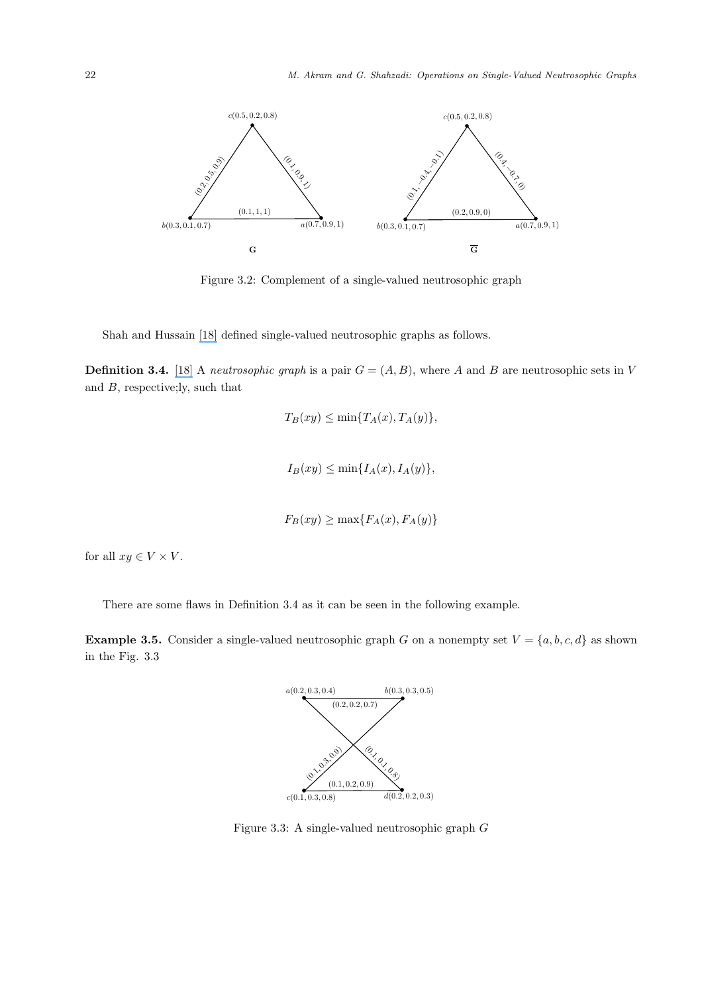

Figure 3.2: Complement of a single-valued neutrosophic graph

Shah and Hussain [\[18\]](https://www.researchgate.net/publication/309179119_Neutrosophic_Soft_Graphs?el=1_x_8&enrichId=rgreq-c15ba1f73910ed1953694f8b6745d424-XXX&enrichSource=Y292ZXJQYWdlOzMxMTQyNjYzNDtBUzo0Mzg0MzE1MDg2MzU2NTBAMTQ4MTU0MTYyNTg2NQ==) defined single-valued neutrosophic graphs as follows.

**Definition 3.4.** [\[18\]](https://www.researchgate.net/publication/309179119_Neutrosophic_Soft_Graphs?el=1_x_8&enrichId=rgreq-c15ba1f73910ed1953694f8b6745d424-XXX&enrichSource=Y292ZXJQYWdlOzMxMTQyNjYzNDtBUzo0Mzg0MzE1MDg2MzU2NTBAMTQ4MTU0MTYyNTg2NQ==) A *neutrosophic graph* is a pair  $G = (A, B)$ , where A and B are neutrosophic sets in V and B, respective;ly, such that

$$
T_B(xy) \le \min\{T_A(x), T_A(y)\},
$$
  

$$
I_B(xy) \le \min\{I_A(x), I_A(y)\},
$$
  

$$
F_B(xy) \ge \max\{F_A(x), F_A(y)\}
$$

for all  $xy \in V \times V$ .

There are some flaws in Definition 3.4 as it can be seen in the following example.

**Example 3.5.** Consider a single-valued neutrosophic graph G on a nonempty set  $V = \{a, b, c, d\}$  as shown in the Fig. 3.3



Figure 3.3: A single-valued neutrosophic graph G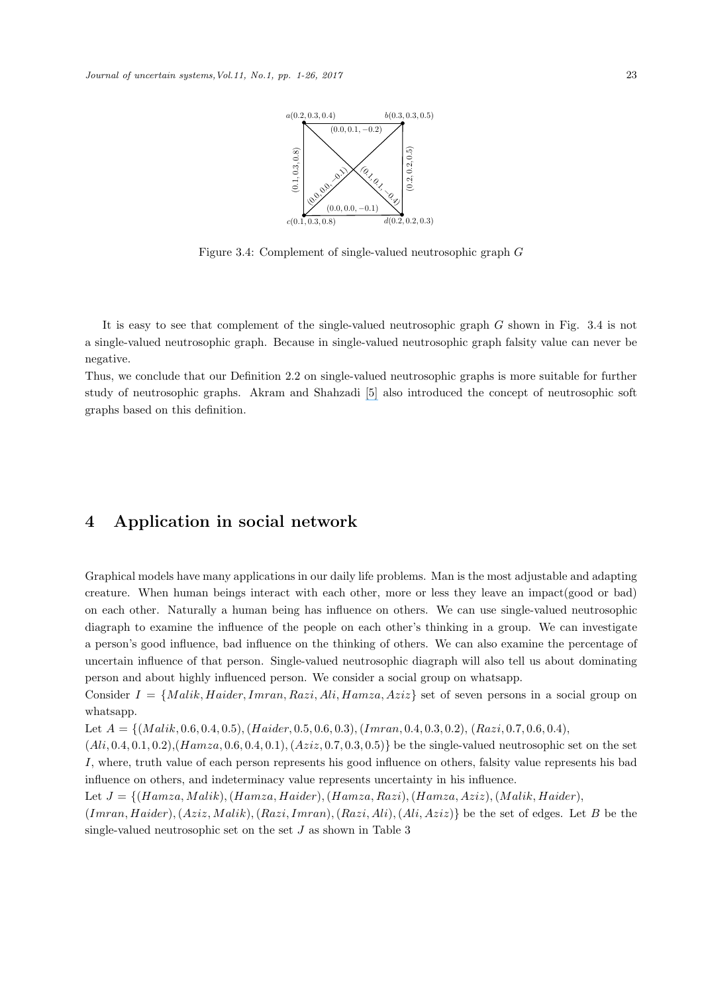

Figure 3.4: Complement of single-valued neutrosophic graph G

It is easy to see that complement of the single-valued neutrosophic graph G shown in Fig. 3.4 is not a single-valued neutrosophic graph. Because in single-valued neutrosophic graph falsity value can never be negative.

Thus, we conclude that our Definition 2.2 on single-valued neutrosophic graphs is more suitable for further study of neutrosophic graphs. Akram and Shahzadi [\[5\]](https://www.researchgate.net/publication/305920288_Neutrosophic_soft_graphs_with_application?el=1_x_8&enrichId=rgreq-c15ba1f73910ed1953694f8b6745d424-XXX&enrichSource=Y292ZXJQYWdlOzMxMTQyNjYzNDtBUzo0Mzg0MzE1MDg2MzU2NTBAMTQ4MTU0MTYyNTg2NQ==) also introduced the concept of neutrosophic soft graphs based on this definition.

## 4 Application in social network

Graphical models have many applications in our daily life problems. Man is the most adjustable and adapting creature. When human beings interact with each other, more or less they leave an impact(good or bad) on each other. Naturally a human being has influence on others. We can use single-valued neutrosophic diagraph to examine the influence of the people on each other's thinking in a group. We can investigate a person's good influence, bad influence on the thinking of others. We can also examine the percentage of uncertain influence of that person. Single-valued neutrosophic diagraph will also tell us about dominating person and about highly influenced person. We consider a social group on whatsapp.

Consider  $I = \{Malik, Haider, Imran, Razi, Ali, Hamza, Aziz\}$  set of seven persons in a social group on whatsapp.

Let  $A = \{(Malik, 0.6, 0.4, 0.5), (Haider, 0.5, 0.6, 0.3), (Imran, 0.4, 0.3, 0.2), (Razi, 0.7, 0.6, 0.4),$ 

 $(Ali, 0.4, 0.1, 0.2), (Hamza, 0.6, 0.4, 0.1), (Aziz, 0.7, 0.3, 0.5)$  be the single-valued neutrosophic set on the set I, where, truth value of each person represents his good influence on others, falsity value represents his bad influence on others, and indeterminacy value represents uncertainty in his influence.

Let  $J = \{(Hamza, Malik), (Hamza, Haider), (Hamza, Razi), (Hamza, Aziz), (Malik, Haider),\}$ 

 $(Imran, Haider), (Aziz, Malik), (Razi, Imran), (Razi, Ali), (Ali, Aziz)$ } be the set of edges. Let B be the single-valued neutrosophic set on the set  $J$  as shown in Table 3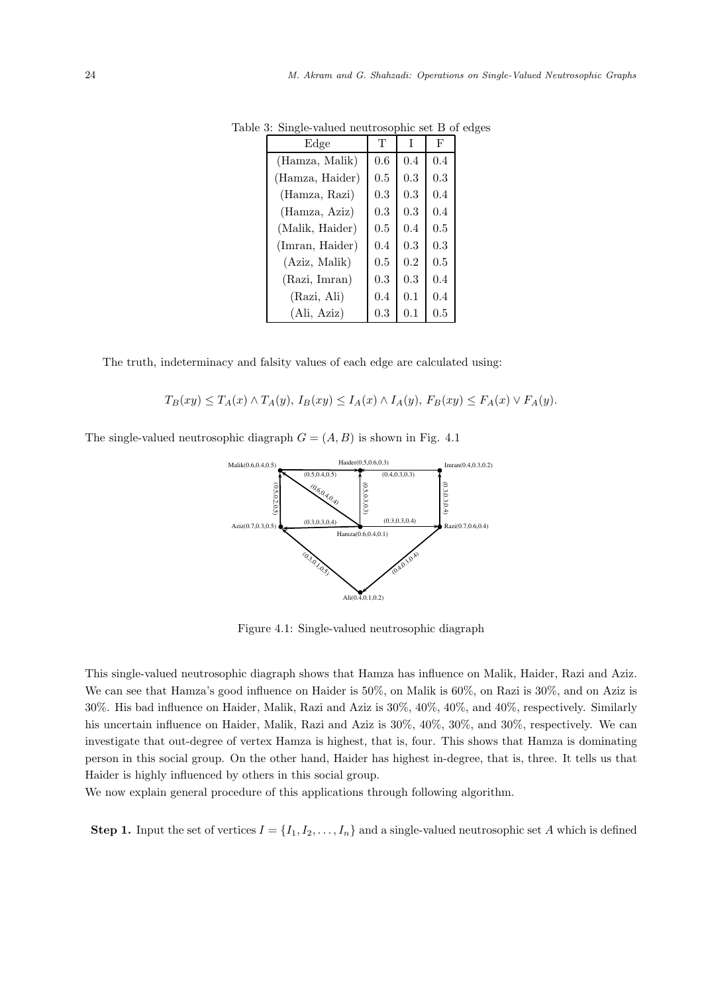| Edge            | Т       | T       | F       |
|-----------------|---------|---------|---------|
| (Hamza, Malik)  | 0.6     | 0.4     | 0.4     |
| (Hamza, Haider) | 0.5     | 0.3     | 0.3     |
| (Hamza, Razi)   | 0.3     | 0.3     | 0.4     |
| (Hamza, Aziz)   | 0.3     | 0.3     | 0.4     |
| (Malik, Haider) | 0.5     | 0.4     | $0.5\,$ |
| (Imran, Haider) | 0.4     | 0.3     | 0.3     |
| (Aziz, Malik)   | 0.5     | $0.2\,$ | $0.5\,$ |
| (Razi, Imran)   | 0.3     | 0.3     | 0.4     |
| (Razi, Ali)     | 0.4     | 0.1     | 0.4     |
| (Ali, Aziz)     | $0.3\,$ | $0.1\,$ | $0.5\,$ |

Table 3: Single-valued neutrosophic set B of edges

The truth, indeterminacy and falsity values of each edge are calculated using:

$$
T_B(xy) \le T_A(x) \wedge T_A(y), I_B(xy) \le I_A(x) \wedge I_A(y), F_B(xy) \le F_A(x) \vee F_A(y).
$$

The single-valued neutrosophic diagraph  $G = (A, B)$  is shown in Fig. 4.1



Figure 4.1: Single-valued neutrosophic diagraph

This single-valued neutrosophic diagraph shows that Hamza has influence on Malik, Haider, Razi and Aziz. We can see that Hamza's good influence on Haider is 50%, on Malik is 60%, on Razi is 30%, and on Aziz is 30%. His bad influence on Haider, Malik, Razi and Aziz is 30%, 40%, 40%, and 40%, respectively. Similarly his uncertain influence on Haider, Malik, Razi and Aziz is  $30\%, 40\%, 30\%,$  and  $30\%,$  respectively. We can investigate that out-degree of vertex Hamza is highest, that is, four. This shows that Hamza is dominating person in this social group. On the other hand, Haider has highest in-degree, that is, three. It tells us that Haider is highly influenced by others in this social group.

We now explain general procedure of this applications through following algorithm.

**Step 1.** Input the set of vertices  $I = \{I_1, I_2, \ldots, I_n\}$  and a single-valued neutrosophic set A which is defined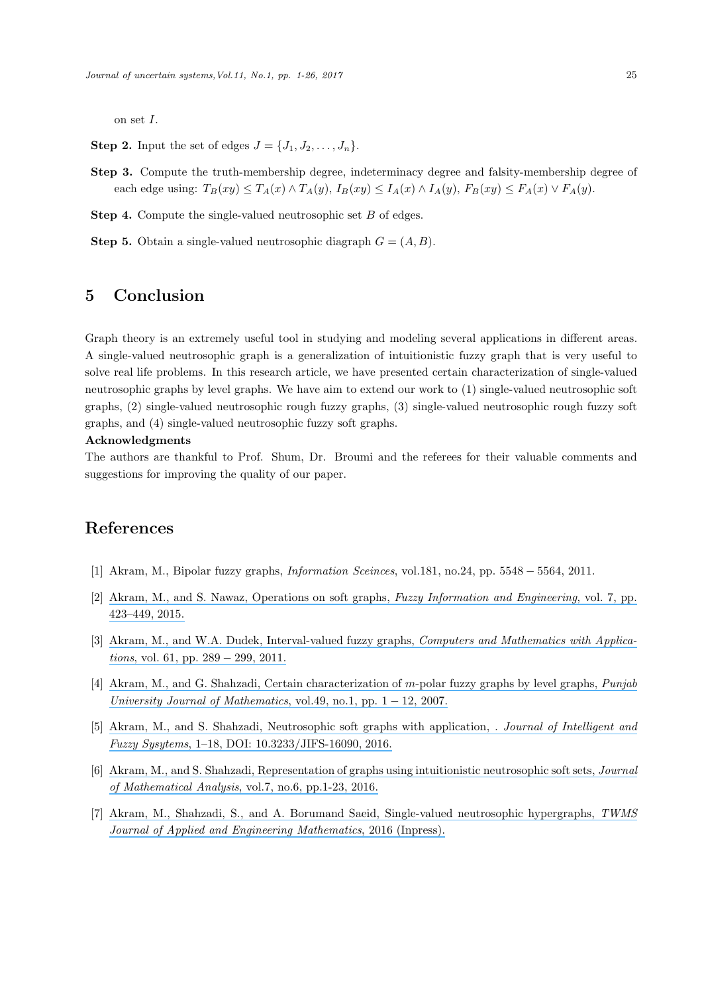on set I.

- **Step 2.** Input the set of edges  $J = \{J_1, J_2, \ldots, J_n\}.$
- Step 3. Compute the truth-membership degree, indeterminacy degree and falsity-membership degree of each edge using:  $T_B(xy) \leq T_A(x) \wedge T_A(y)$ ,  $I_B(xy) \leq I_A(x) \wedge I_A(y)$ ,  $F_B(xy) \leq F_A(x) \vee F_A(y)$ .

Step 4. Compute the single-valued neutrosophic set B of edges.

**Step 5.** Obtain a single-valued neutrosophic diagraph  $G = (A, B)$ .

### 5 Conclusion

Graph theory is an extremely useful tool in studying and modeling several applications in different areas. A single-valued neutrosophic graph is a generalization of intuitionistic fuzzy graph that is very useful to solve real life problems. In this research article, we have presented certain characterization of single-valued neutrosophic graphs by level graphs. We have aim to extend our work to (1) single-valued neutrosophic soft graphs, (2) single-valued neutrosophic rough fuzzy graphs, (3) single-valued neutrosophic rough fuzzy soft graphs, and (4) single-valued neutrosophic fuzzy soft graphs.

#### Acknowledgments

The authors are thankful to Prof. Shum, Dr. Broumi and the referees for their valuable comments and suggestions for improving the quality of our paper.

#### References

- [1] Akram, M., Bipolar fuzzy graphs, *Information Sceinces*, vol.181, no.24, pp. 5548 − 5564, 2011.
- [2] [Akram, M., and S. Nawaz, Operations on soft graphs,](https://www.researchgate.net/publication/286903464_Operations_on_Soft_Graphs?el=1_x_8&enrichId=rgreq-c15ba1f73910ed1953694f8b6745d424-XXX&enrichSource=Y292ZXJQYWdlOzMxMTQyNjYzNDtBUzo0Mzg0MzE1MDg2MzU2NTBAMTQ4MTU0MTYyNTg2NQ==) *Fuzzy Information and Engineering*, vol. 7, pp. [423–449, 2015.](https://www.researchgate.net/publication/286903464_Operations_on_Soft_Graphs?el=1_x_8&enrichId=rgreq-c15ba1f73910ed1953694f8b6745d424-XXX&enrichSource=Y292ZXJQYWdlOzMxMTQyNjYzNDtBUzo0Mzg0MzE1MDg2MzU2NTBAMTQ4MTU0MTYyNTg2NQ==)
- [3] [Akram, M., and W.A. Dudek, Interval-valued fuzzy graphs,](https://www.researchgate.net/publication/220512890_Interval-valued_fuzzy_graphs?el=1_x_8&enrichId=rgreq-c15ba1f73910ed1953694f8b6745d424-XXX&enrichSource=Y292ZXJQYWdlOzMxMTQyNjYzNDtBUzo0Mzg0MzE1MDg2MzU2NTBAMTQ4MTU0MTYyNTg2NQ==) *Computers and Mathematics with Applications*[, vol. 61, pp. 289](https://www.researchgate.net/publication/220512890_Interval-valued_fuzzy_graphs?el=1_x_8&enrichId=rgreq-c15ba1f73910ed1953694f8b6745d424-XXX&enrichSource=Y292ZXJQYWdlOzMxMTQyNjYzNDtBUzo0Mzg0MzE1MDg2MzU2NTBAMTQ4MTU0MTYyNTg2NQ==) − 299, 2011.
- [4] [Akram, M., and G. Shahzadi, Certain characterization of](https://www.researchgate.net/publication/310124396_Certain_Characterization_of_m-Polar_Fuzzy_Graphs_by_Level_Graphs?el=1_x_8&enrichId=rgreq-c15ba1f73910ed1953694f8b6745d424-XXX&enrichSource=Y292ZXJQYWdlOzMxMTQyNjYzNDtBUzo0Mzg0MzE1MDg2MzU2NTBAMTQ4MTU0MTYyNTg2NQ==) m-polar fuzzy graphs by level graphs, *Punjab [University Journal of Mathematics](https://www.researchgate.net/publication/310124396_Certain_Characterization_of_m-Polar_Fuzzy_Graphs_by_Level_Graphs?el=1_x_8&enrichId=rgreq-c15ba1f73910ed1953694f8b6745d424-XXX&enrichSource=Y292ZXJQYWdlOzMxMTQyNjYzNDtBUzo0Mzg0MzE1MDg2MzU2NTBAMTQ4MTU0MTYyNTg2NQ==)*, vol.49, no.1, pp.  $1 - 12$ , 2007.
- [5] [Akram, M., and S. Shahzadi, Neutrosophic soft graphs with application,](https://www.researchgate.net/publication/305920288_Neutrosophic_soft_graphs_with_application?el=1_x_8&enrichId=rgreq-c15ba1f73910ed1953694f8b6745d424-XXX&enrichSource=Y292ZXJQYWdlOzMxMTQyNjYzNDtBUzo0Mzg0MzE1MDg2MzU2NTBAMTQ4MTU0MTYyNTg2NQ==) *. Journal of Intelligent and Fuzzy Sysytems*[, 1–18, DOI: 10.3233/JIFS-16090, 2016.](https://www.researchgate.net/publication/305920288_Neutrosophic_soft_graphs_with_application?el=1_x_8&enrichId=rgreq-c15ba1f73910ed1953694f8b6745d424-XXX&enrichSource=Y292ZXJQYWdlOzMxMTQyNjYzNDtBUzo0Mzg0MzE1MDg2MzU2NTBAMTQ4MTU0MTYyNTg2NQ==)
- [6] [Akram, M., and S. Shahzadi, Representation of graphs using intuitionistic neutrosophic soft sets,](https://www.researchgate.net/publication/310466355_Representation_of_Graphs_using_Intuitionistic_Neutrosophic_Soft_Sets?el=1_x_8&enrichId=rgreq-c15ba1f73910ed1953694f8b6745d424-XXX&enrichSource=Y292ZXJQYWdlOzMxMTQyNjYzNDtBUzo0Mzg0MzE1MDg2MzU2NTBAMTQ4MTU0MTYyNTg2NQ==) *Journal of Mathematical Analysis*[, vol.7, no.6, pp.1-23, 2016.](https://www.researchgate.net/publication/310466355_Representation_of_Graphs_using_Intuitionistic_Neutrosophic_Soft_Sets?el=1_x_8&enrichId=rgreq-c15ba1f73910ed1953694f8b6745d424-XXX&enrichSource=Y292ZXJQYWdlOzMxMTQyNjYzNDtBUzo0Mzg0MzE1MDg2MzU2NTBAMTQ4MTU0MTYyNTg2NQ==)
- [7] [Akram, M., Shahzadi, S., and A. Borumand Saeid, Single-valued neutrosophic hypergraphs,](https://www.researchgate.net/publication/311426634_Operations_on_single-valued_neutrosophic_graphs?el=1_x_8&enrichId=rgreq-c15ba1f73910ed1953694f8b6745d424-XXX&enrichSource=Y292ZXJQYWdlOzMxMTQyNjYzNDtBUzo0Mzg0MzE1MDg2MzU2NTBAMTQ4MTU0MTYyNTg2NQ==) *TWMS [Journal of Applied and Engineering Mathematics](https://www.researchgate.net/publication/311426634_Operations_on_single-valued_neutrosophic_graphs?el=1_x_8&enrichId=rgreq-c15ba1f73910ed1953694f8b6745d424-XXX&enrichSource=Y292ZXJQYWdlOzMxMTQyNjYzNDtBUzo0Mzg0MzE1MDg2MzU2NTBAMTQ4MTU0MTYyNTg2NQ==)*, 2016 (Inpress).